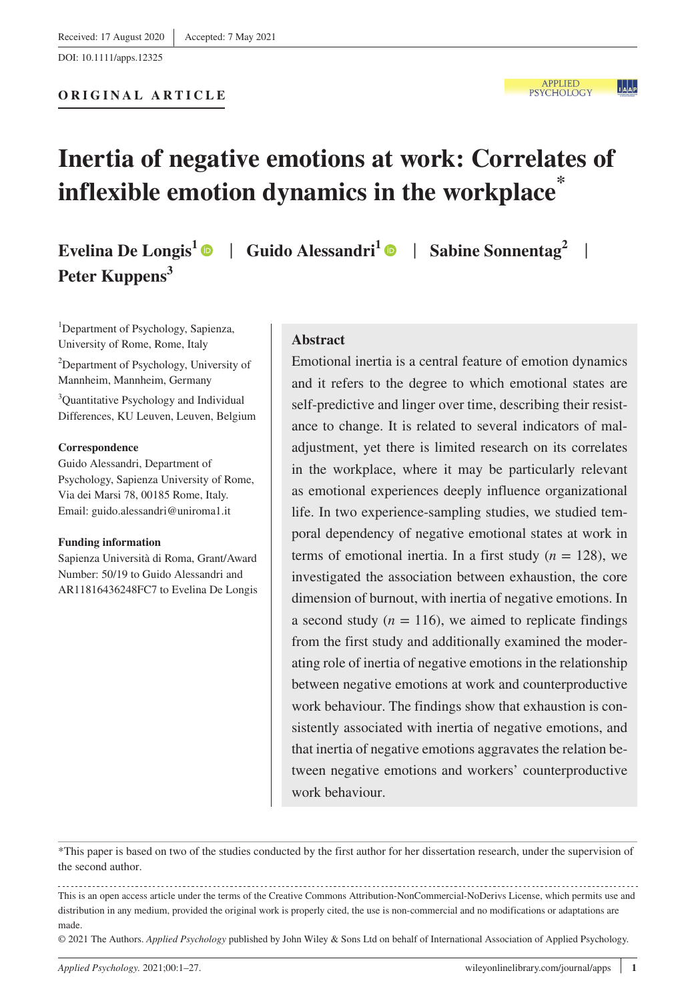# **Inertia of negative emotions at work: Correlates of inflexible emotion dynamics in the workplace\***

**Evelina De Longis<sup>1</sup>**  $\bullet$  **| Guido Alessandri<sup>1</sup>**  $\bullet$  **| Sabine Sonnentag<sup>2</sup> | Peter Kuppens<sup>3</sup>**

<sup>1</sup>Department of Psychology, Sapienza, University of Rome, Rome, Italy 2 Department of Psychology, University of Mannheim, Mannheim, Germany

<sup>3</sup>Quantitative Psychology and Individual Differences, KU Leuven, Leuven, Belgium

#### **Correspondence**

Guido Alessandri, Department of Psychology, Sapienza University of Rome, Via dei Marsi 78, 00185 Rome, Italy. Email: [guido.alessandri@uniroma1.it](mailto:guido.alessandri@uniroma1.it)

#### **Funding information**

Sapienza Università di Roma, Grant/Award Number: 50/19 to Guido Alessandri and AR11816436248FC7 to Evelina De Longis

#### **Abstract**

Emotional inertia is a central feature of emotion dynamics and it refers to the degree to which emotional states are self-predictive and linger over time, describing their resistance to change. It is related to several indicators of maladjustment, yet there is limited research on its correlates in the workplace, where it may be particularly relevant as emotional experiences deeply influence organizational life. In two experience-sampling studies, we studied temporal dependency of negative emotional states at work in terms of emotional inertia. In a first study  $(n = 128)$ , we investigated the association between exhaustion, the core dimension of burnout, with inertia of negative emotions. In a second study  $(n = 116)$ , we aimed to replicate findings from the first study and additionally examined the moderating role of inertia of negative emotions in the relationship between negative emotions at work and counterproductive work behaviour. The findings show that exhaustion is consistently associated with inertia of negative emotions, and that inertia of negative emotions aggravates the relation between negative emotions and workers' counterproductive work behaviour.

\*This paper is based on two of the studies conducted by the first author for her dissertation research, under the supervision of the second author.

This is an open access article under the terms of the [Creative Commons Attribution-NonCommercial-NoDerivs](http://creativecommons.org/licenses/by-nc-nd/4.0/) License, which permits use and distribution in any medium, provided the original work is properly cited, the use is non-commercial and no modifications or adaptations are made.

© 2021 The Authors. *Applied Psychology* published by John Wiley & Sons Ltd on behalf of International Association of Applied Psychology.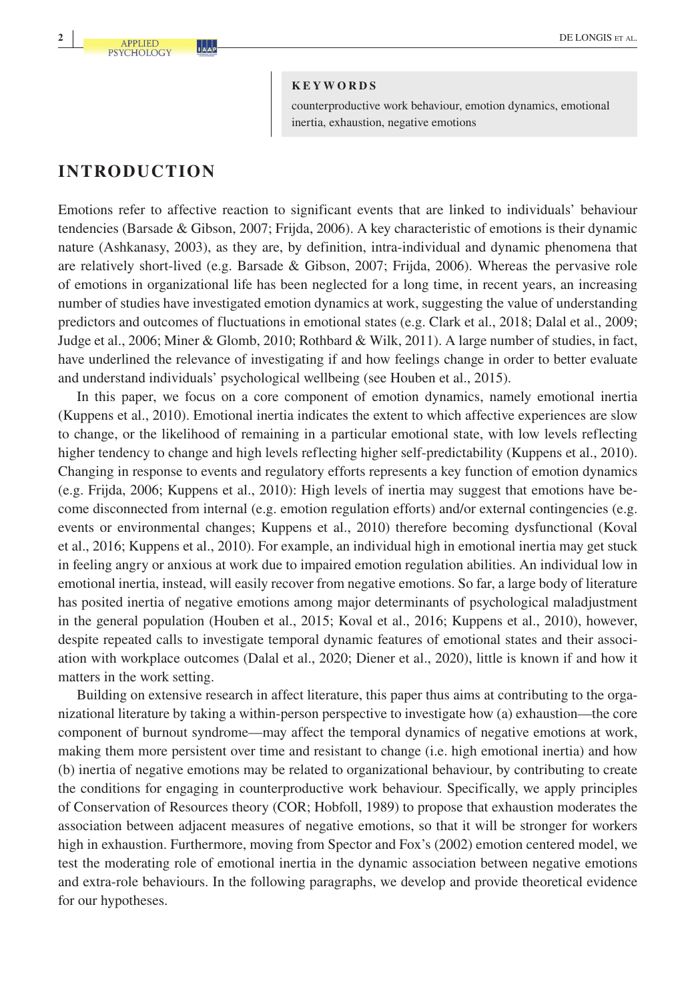counterproductive work behaviour, emotion dynamics, emotional inertia, exhaustion, negative emotions

# **INTRODUCTION**

Emotions refer to affective reaction to significant events that are linked to individuals' behaviour tendencies (Barsade & Gibson, 2007; Frijda, 2006). A key characteristic of emotions is their dynamic nature (Ashkanasy, 2003), as they are, by definition, intra-individual and dynamic phenomena that are relatively short-lived (e.g. Barsade & Gibson, 2007; Frijda, 2006). Whereas the pervasive role of emotions in organizational life has been neglected for a long time, in recent years, an increasing number of studies have investigated emotion dynamics at work, suggesting the value of understanding predictors and outcomes of fluctuations in emotional states (e.g. Clark et al., 2018; Dalal et al., 2009; Judge et al., 2006; Miner & Glomb, 2010; Rothbard & Wilk, 2011). A large number of studies, in fact, have underlined the relevance of investigating if and how feelings change in order to better evaluate and understand individuals' psychological wellbeing (see Houben et al., 2015).

In this paper, we focus on a core component of emotion dynamics, namely emotional inertia (Kuppens et al., 2010). Emotional inertia indicates the extent to which affective experiences are slow to change, or the likelihood of remaining in a particular emotional state, with low levels reflecting higher tendency to change and high levels reflecting higher self-predictability (Kuppens et al., 2010). Changing in response to events and regulatory efforts represents a key function of emotion dynamics (e.g. Frijda, 2006; Kuppens et al., 2010): High levels of inertia may suggest that emotions have become disconnected from internal (e.g. emotion regulation efforts) and/or external contingencies (e.g. events or environmental changes; Kuppens et al., 2010) therefore becoming dysfunctional (Koval et al., 2016; Kuppens et al., 2010). For example, an individual high in emotional inertia may get stuck in feeling angry or anxious at work due to impaired emotion regulation abilities. An individual low in emotional inertia, instead, will easily recover from negative emotions. So far, a large body of literature has posited inertia of negative emotions among major determinants of psychological maladjustment in the general population (Houben et al., 2015; Koval et al., 2016; Kuppens et al., 2010), however, despite repeated calls to investigate temporal dynamic features of emotional states and their association with workplace outcomes (Dalal et al., 2020; Diener et al., 2020), little is known if and how it matters in the work setting.

Building on extensive research in affect literature, this paper thus aims at contributing to the organizational literature by taking a within-person perspective to investigate how (a) exhaustion—the core component of burnout syndrome—may affect the temporal dynamics of negative emotions at work, making them more persistent over time and resistant to change (i.e. high emotional inertia) and how (b) inertia of negative emotions may be related to organizational behaviour, by contributing to create the conditions for engaging in counterproductive work behaviour. Specifically, we apply principles of Conservation of Resources theory (COR; Hobfoll, 1989) to propose that exhaustion moderates the association between adjacent measures of negative emotions, so that it will be stronger for workers high in exhaustion. Furthermore, moving from Spector and Fox's (2002) emotion centered model, we test the moderating role of emotional inertia in the dynamic association between negative emotions and extra-role behaviours. In the following paragraphs, we develop and provide theoretical evidence for our hypotheses.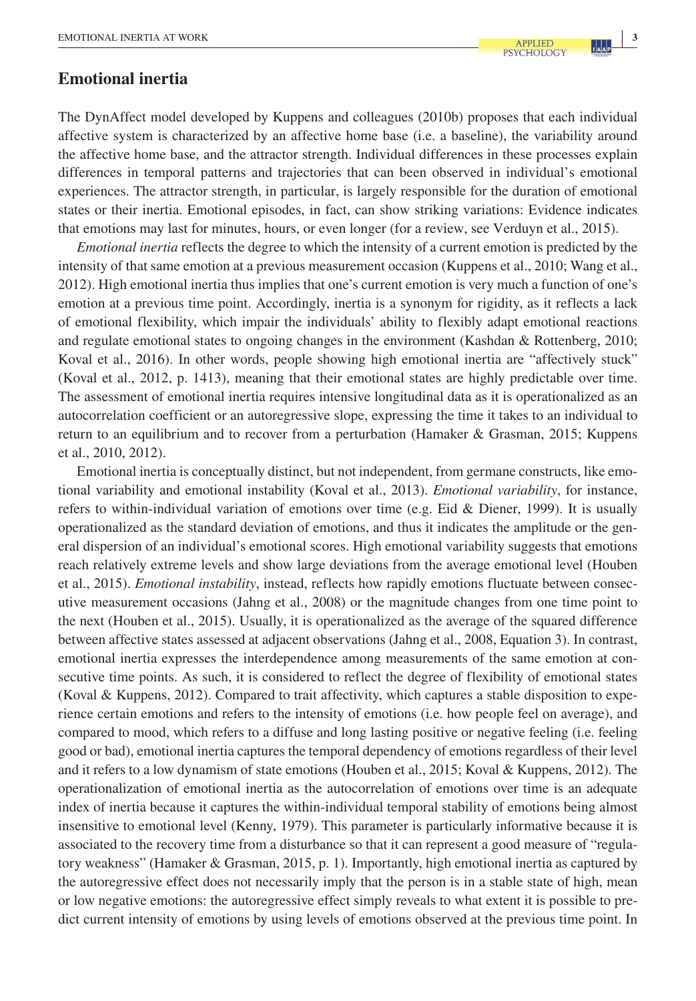# **Emotional inertia**

The DynAffect model developed by Kuppens and colleagues (2010b) proposes that each individual affective system is characterized by an affective home base (i.e. a baseline), the variability around the affective home base, and the attractor strength. Individual differences in these processes explain differences in temporal patterns and trajectories that can been observed in individual's emotional experiences. The attractor strength, in particular, is largely responsible for the duration of emotional states or their inertia. Emotional episodes, in fact, can show striking variations: Evidence indicates that emotions may last for minutes, hours, or even longer (for a review, see Verduyn et al., 2015).

*Emotional inertia* reflects the degree to which the intensity of a current emotion is predicted by the intensity of that same emotion at a previous measurement occasion (Kuppens et al., 2010; Wang et al., 2012). High emotional inertia thus implies that one's current emotion is very much a function of one's emotion at a previous time point. Accordingly, inertia is a synonym for rigidity, as it reflects a lack of emotional flexibility, which impair the individuals' ability to flexibly adapt emotional reactions and regulate emotional states to ongoing changes in the environment (Kashdan & Rottenberg, 2010; Koval et al., 2016). In other words, people showing high emotional inertia are "affectively stuck" (Koval et al., 2012, p. 1413), meaning that their emotional states are highly predictable over time. The assessment of emotional inertia requires intensive longitudinal data as it is operationalized as an autocorrelation coefficient or an autoregressive slope, expressing the time it takes to an individual to return to an equilibrium and to recover from a perturbation (Hamaker & Grasman, 2015; Kuppens et al., 2010, 2012).

Emotional inertia is conceptually distinct, but not independent, from germane constructs, like emotional variability and emotional instability (Koval et al., 2013). *Emotional variability*, for instance, refers to within-individual variation of emotions over time (e.g. Eid & Diener, 1999). It is usually operationalized as the standard deviation of emotions, and thus it indicates the amplitude or the general dispersion of an individual's emotional scores. High emotional variability suggests that emotions reach relatively extreme levels and show large deviations from the average emotional level (Houben et al., 2015). *Emotional instability*, instead, reflects how rapidly emotions fluctuate between consecutive measurement occasions (Jahng et al., 2008) or the magnitude changes from one time point to the next (Houben et al., 2015). Usually, it is operationalized as the average of the squared difference between affective states assessed at adjacent observations (Jahng et al., 2008, Equation 3). In contrast, emotional inertia expresses the interdependence among measurements of the same emotion at consecutive time points. As such, it is considered to reflect the degree of flexibility of emotional states (Koval & Kuppens, 2012). Compared to trait affectivity, which captures a stable disposition to experience certain emotions and refers to the intensity of emotions (i.e. how people feel on average), and compared to mood, which refers to a diffuse and long lasting positive or negative feeling (i.e. feeling good or bad), emotional inertia captures the temporal dependency of emotions regardless of their level and it refers to a low dynamism of state emotions (Houben et al., 2015; Koval & Kuppens, 2012). The operationalization of emotional inertia as the autocorrelation of emotions over time is an adequate index of inertia because it captures the within-individual temporal stability of emotions being almost insensitive to emotional level (Kenny, 1979). This parameter is particularly informative because it is associated to the recovery time from a disturbance so that it can represent a good measure of "regulatory weakness" (Hamaker & Grasman, 2015, p. 1). Importantly, high emotional inertia as captured by the autoregressive effect does not necessarily imply that the person is in a stable state of high, mean or low negative emotions: the autoregressive effect simply reveals to what extent it is possible to predict current intensity of emotions by using levels of emotions observed at the previous time point. In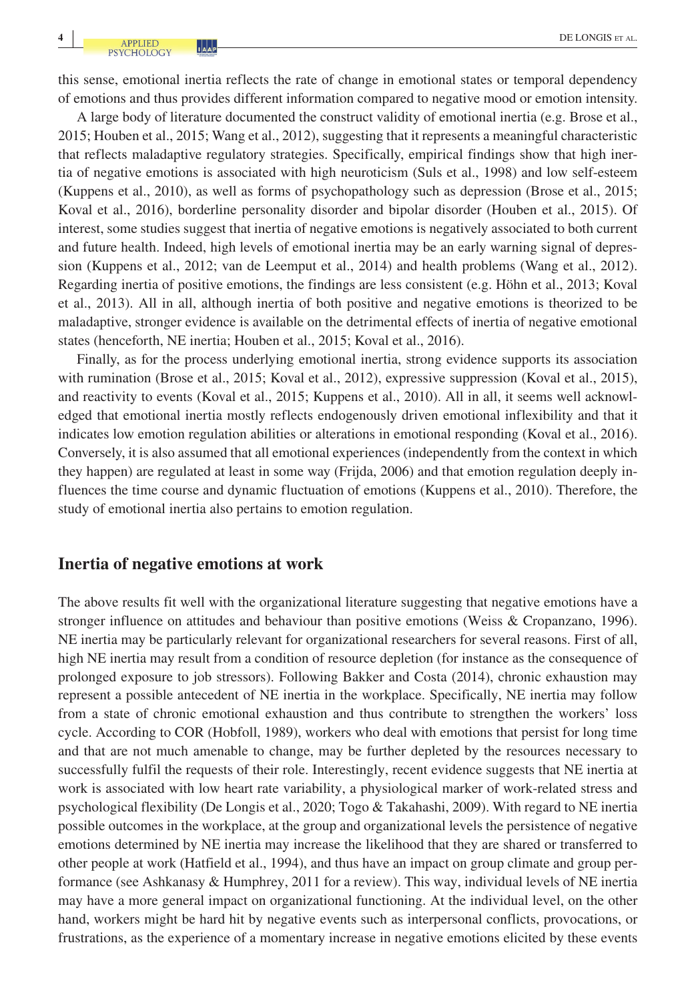this sense, emotional inertia reflects the rate of change in emotional states or temporal dependency of emotions and thus provides different information compared to negative mood or emotion intensity.

A large body of literature documented the construct validity of emotional inertia (e.g. Brose et al., 2015; Houben et al., 2015; Wang et al., 2012), suggesting that it represents a meaningful characteristic that reflects maladaptive regulatory strategies. Specifically, empirical findings show that high inertia of negative emotions is associated with high neuroticism (Suls et al., 1998) and low self-esteem (Kuppens et al., 2010), as well as forms of psychopathology such as depression (Brose et al., 2015; Koval et al., 2016), borderline personality disorder and bipolar disorder (Houben et al., 2015). Of interest, some studies suggest that inertia of negative emotions is negatively associated to both current and future health. Indeed, high levels of emotional inertia may be an early warning signal of depression (Kuppens et al., 2012; van de Leemput et al., 2014) and health problems (Wang et al., 2012). Regarding inertia of positive emotions, the findings are less consistent (e.g. Höhn et al., 2013; Koval et al., 2013). All in all, although inertia of both positive and negative emotions is theorized to be maladaptive, stronger evidence is available on the detrimental effects of inertia of negative emotional states (henceforth, NE inertia; Houben et al., 2015; Koval et al., 2016).

Finally, as for the process underlying emotional inertia, strong evidence supports its association with rumination (Brose et al., 2015; Koval et al., 2012), expressive suppression (Koval et al., 2015), and reactivity to events (Koval et al., 2015; Kuppens et al., 2010). All in all, it seems well acknowledged that emotional inertia mostly reflects endogenously driven emotional inflexibility and that it indicates low emotion regulation abilities or alterations in emotional responding (Koval et al., 2016). Conversely, it is also assumed that all emotional experiences (independently from the context in which they happen) are regulated at least in some way (Frijda, 2006) and that emotion regulation deeply influences the time course and dynamic fluctuation of emotions (Kuppens et al., 2010). Therefore, the study of emotional inertia also pertains to emotion regulation.

#### **Inertia of negative emotions at work**

The above results fit well with the organizational literature suggesting that negative emotions have a stronger influence on attitudes and behaviour than positive emotions (Weiss & Cropanzano, 1996). NE inertia may be particularly relevant for organizational researchers for several reasons. First of all, high NE inertia may result from a condition of resource depletion (for instance as the consequence of prolonged exposure to job stressors). Following Bakker and Costa (2014), chronic exhaustion may represent a possible antecedent of NE inertia in the workplace. Specifically, NE inertia may follow from a state of chronic emotional exhaustion and thus contribute to strengthen the workers' loss cycle. According to COR (Hobfoll, 1989), workers who deal with emotions that persist for long time and that are not much amenable to change, may be further depleted by the resources necessary to successfully fulfil the requests of their role. Interestingly, recent evidence suggests that NE inertia at work is associated with low heart rate variability, a physiological marker of work-related stress and psychological flexibility (De Longis et al., 2020; Togo & Takahashi, 2009). With regard to NE inertia possible outcomes in the workplace, at the group and organizational levels the persistence of negative emotions determined by NE inertia may increase the likelihood that they are shared or transferred to other people at work (Hatfield et al., 1994), and thus have an impact on group climate and group performance (see Ashkanasy & Humphrey, 2011 for a review). This way, individual levels of NE inertia may have a more general impact on organizational functioning. At the individual level, on the other hand, workers might be hard hit by negative events such as interpersonal conflicts, provocations, or frustrations, as the experience of a momentary increase in negative emotions elicited by these events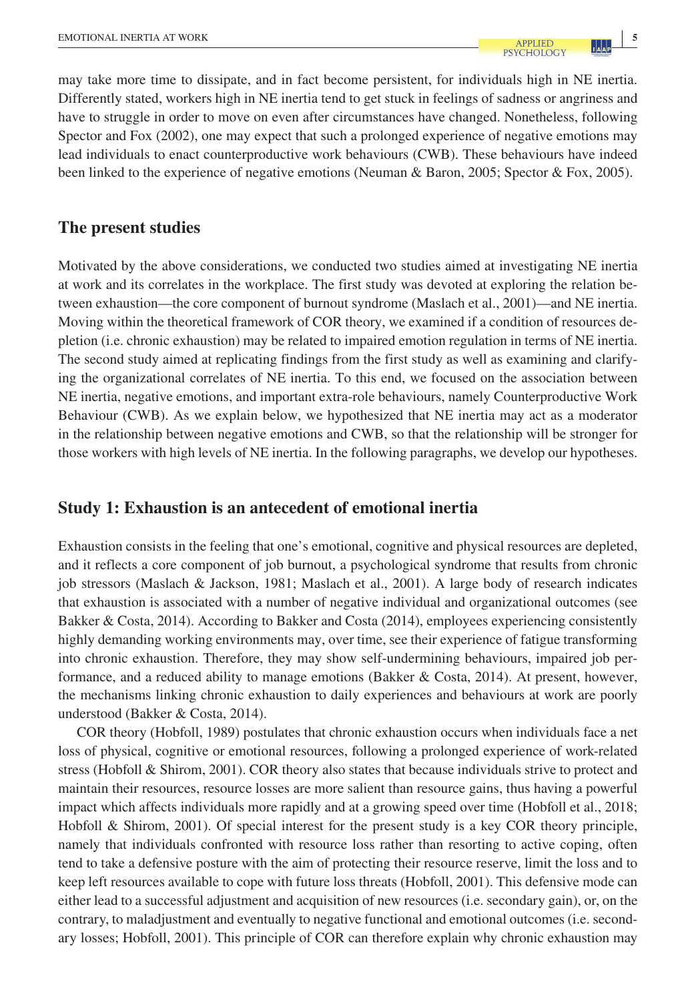may take more time to dissipate, and in fact become persistent, for individuals high in NE inertia. Differently stated, workers high in NE inertia tend to get stuck in feelings of sadness or angriness and have to struggle in order to move on even after circumstances have changed. Nonetheless, following Spector and Fox (2002), one may expect that such a prolonged experience of negative emotions may lead individuals to enact counterproductive work behaviours (CWB). These behaviours have indeed been linked to the experience of negative emotions (Neuman & Baron, 2005; Spector & Fox, 2005).

# **The present studies**

Motivated by the above considerations, we conducted two studies aimed at investigating NE inertia at work and its correlates in the workplace. The first study was devoted at exploring the relation between exhaustion—the core component of burnout syndrome (Maslach et al., 2001)—and NE inertia. Moving within the theoretical framework of COR theory, we examined if a condition of resources depletion (i.e. chronic exhaustion) may be related to impaired emotion regulation in terms of NE inertia. The second study aimed at replicating findings from the first study as well as examining and clarifying the organizational correlates of NE inertia. To this end, we focused on the association between NE inertia, negative emotions, and important extra-role behaviours, namely Counterproductive Work Behaviour (CWB). As we explain below, we hypothesized that NE inertia may act as a moderator in the relationship between negative emotions and CWB, so that the relationship will be stronger for those workers with high levels of NE inertia. In the following paragraphs, we develop our hypotheses.

# **Study 1: Exhaustion is an antecedent of emotional inertia**

Exhaustion consists in the feeling that one's emotional, cognitive and physical resources are depleted, and it reflects a core component of job burnout, a psychological syndrome that results from chronic job stressors (Maslach & Jackson, 1981; Maslach et al., 2001). A large body of research indicates that exhaustion is associated with a number of negative individual and organizational outcomes (see Bakker & Costa, 2014). According to Bakker and Costa (2014), employees experiencing consistently highly demanding working environments may, over time, see their experience of fatigue transforming into chronic exhaustion. Therefore, they may show self-undermining behaviours, impaired job performance, and a reduced ability to manage emotions (Bakker & Costa, 2014). At present, however, the mechanisms linking chronic exhaustion to daily experiences and behaviours at work are poorly understood (Bakker & Costa, 2014).

COR theory (Hobfoll, 1989) postulates that chronic exhaustion occurs when individuals face a net loss of physical, cognitive or emotional resources, following a prolonged experience of work-related stress (Hobfoll & Shirom, 2001). COR theory also states that because individuals strive to protect and maintain their resources, resource losses are more salient than resource gains, thus having a powerful impact which affects individuals more rapidly and at a growing speed over time (Hobfoll et al., 2018; Hobfoll & Shirom, 2001). Of special interest for the present study is a key COR theory principle, namely that individuals confronted with resource loss rather than resorting to active coping, often tend to take a defensive posture with the aim of protecting their resource reserve, limit the loss and to keep left resources available to cope with future loss threats (Hobfoll, 2001). This defensive mode can either lead to a successful adjustment and acquisition of new resources (i.e. secondary gain), or, on the contrary, to maladjustment and eventually to negative functional and emotional outcomes (i.e. secondary losses; Hobfoll, 2001). This principle of COR can therefore explain why chronic exhaustion may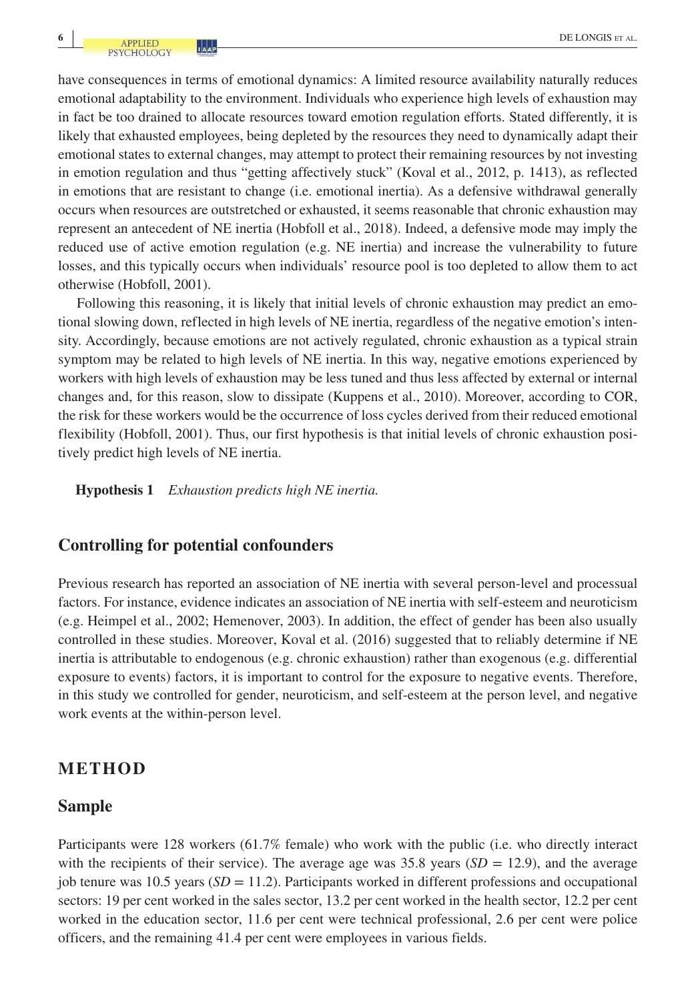have consequences in terms of emotional dynamics: A limited resource availability naturally reduces emotional adaptability to the environment. Individuals who experience high levels of exhaustion may in fact be too drained to allocate resources toward emotion regulation efforts. Stated differently, it is likely that exhausted employees, being depleted by the resources they need to dynamically adapt their emotional states to external changes, may attempt to protect their remaining resources by not investing in emotion regulation and thus "getting affectively stuck" (Koval et al., 2012, p. 1413), as reflected in emotions that are resistant to change (i.e. emotional inertia). As a defensive withdrawal generally occurs when resources are outstretched or exhausted, it seems reasonable that chronic exhaustion may represent an antecedent of NE inertia (Hobfoll et al., 2018). Indeed, a defensive mode may imply the reduced use of active emotion regulation (e.g. NE inertia) and increase the vulnerability to future losses, and this typically occurs when individuals' resource pool is too depleted to allow them to act otherwise (Hobfoll, 2001).

Following this reasoning, it is likely that initial levels of chronic exhaustion may predict an emotional slowing down, reflected in high levels of NE inertia, regardless of the negative emotion's intensity. Accordingly, because emotions are not actively regulated, chronic exhaustion as a typical strain symptom may be related to high levels of NE inertia. In this way, negative emotions experienced by workers with high levels of exhaustion may be less tuned and thus less affected by external or internal changes and, for this reason, slow to dissipate (Kuppens et al., 2010). Moreover, according to COR, the risk for these workers would be the occurrence of loss cycles derived from their reduced emotional flexibility (Hobfoll, 2001). Thus, our first hypothesis is that initial levels of chronic exhaustion positively predict high levels of NE inertia.

**Hypothesis 1** *Exhaustion predicts high NE inertia.*

#### **Controlling for potential confounders**

Previous research has reported an association of NE inertia with several person-level and processual factors. For instance, evidence indicates an association of NE inertia with self-esteem and neuroticism (e.g. Heimpel et al., 2002; Hemenover, 2003). In addition, the effect of gender has been also usually controlled in these studies. Moreover, Koval et al. (2016) suggested that to reliably determine if NE inertia is attributable to endogenous (e.g. chronic exhaustion) rather than exogenous (e.g. differential exposure to events) factors, it is important to control for the exposure to negative events. Therefore, in this study we controlled for gender, neuroticism, and self-esteem at the person level, and negative work events at the within-person level.

# **METHOD**

# **Sample**

Participants were 128 workers (61.7% female) who work with the public (i.e. who directly interact with the recipients of their service). The average age was 35.8 years  $(SD = 12.9)$ , and the average job tenure was 10.5 years  $(SD = 11.2)$ . Participants worked in different professions and occupational sectors: 19 per cent worked in the sales sector, 13.2 per cent worked in the health sector, 12.2 per cent worked in the education sector, 11.6 per cent were technical professional, 2.6 per cent were police officers, and the remaining 41.4 per cent were employees in various fields.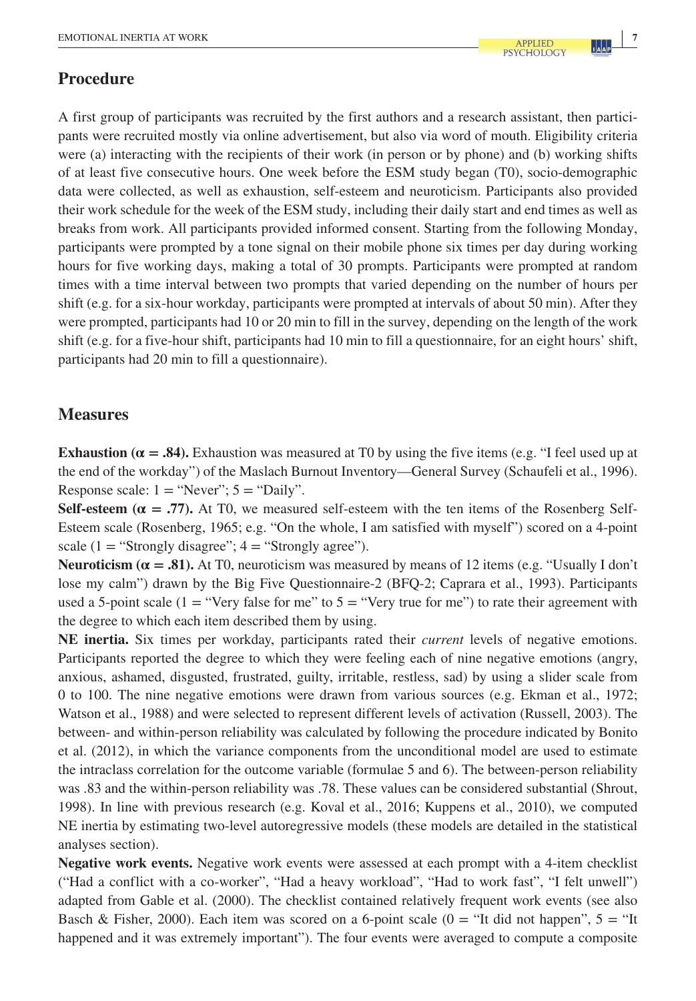# **Procedure**

A first group of participants was recruited by the first authors and a research assistant, then participants were recruited mostly via online advertisement, but also via word of mouth. Eligibility criteria were (a) interacting with the recipients of their work (in person or by phone) and (b) working shifts of at least five consecutive hours. One week before the ESM study began (T0), socio-demographic data were collected, as well as exhaustion, self-esteem and neuroticism. Participants also provided their work schedule for the week of the ESM study, including their daily start and end times as well as breaks from work. All participants provided informed consent. Starting from the following Monday, participants were prompted by a tone signal on their mobile phone six times per day during working hours for five working days, making a total of 30 prompts. Participants were prompted at random times with a time interval between two prompts that varied depending on the number of hours per shift (e.g. for a six-hour workday, participants were prompted at intervals of about 50 min). After they were prompted, participants had 10 or 20 min to fill in the survey, depending on the length of the work shift (e.g. for a five-hour shift, participants had 10 min to fill a questionnaire, for an eight hours' shift, participants had 20 min to fill a questionnaire).

# **Measures**

**Exhaustion (** $\alpha = .84$ **).** Exhaustion was measured at T0 by using the five items (e.g. "I feel used up at the end of the workday") of the Maslach Burnout Inventory—General Survey (Schaufeli et al., 1996). Response scale:  $1 = "Never"; 5 = "Daily".$ 

**Self-esteem (** $\alpha$  **= .77).** At T0, we measured self-esteem with the ten items of the Rosenberg Self-Esteem scale (Rosenberg, 1965; e.g. "On the whole, I am satisfied with myself") scored on a 4-point scale  $(1 = "Strongly disagree"; 4 = "Strongly agree".$ 

**Neuroticism (** $\alpha = .81$ **).** At T0, neuroticism was measured by means of 12 items (e.g. "Usually I don't lose my calm") drawn by the Big Five Questionnaire-2 (BFQ-2; Caprara et al., 1993). Participants used a 5-point scale (1 = "Very false for me" to  $5 =$  "Very true for me") to rate their agreement with the degree to which each item described them by using.

**NE inertia.** Six times per workday, participants rated their *current* levels of negative emotions. Participants reported the degree to which they were feeling each of nine negative emotions (angry, anxious, ashamed, disgusted, frustrated, guilty, irritable, restless, sad) by using a slider scale from 0 to 100. The nine negative emotions were drawn from various sources (e.g. Ekman et al., 1972; Watson et al., 1988) and were selected to represent different levels of activation (Russell, 2003). The between- and within-person reliability was calculated by following the procedure indicated by Bonito et al. (2012), in which the variance components from the unconditional model are used to estimate the intraclass correlation for the outcome variable (formulae 5 and 6). The between-person reliability was .83 and the within-person reliability was .78. These values can be considered substantial (Shrout, 1998). In line with previous research (e.g. Koval et al., 2016; Kuppens et al., 2010), we computed NE inertia by estimating two-level autoregressive models (these models are detailed in the statistical analyses section).

**Negative work events.** Negative work events were assessed at each prompt with a 4-item checklist ("Had a conflict with a co-worker", "Had a heavy workload", "Had to work fast", "I felt unwell") adapted from Gable et al. (2000). The checklist contained relatively frequent work events (see also Basch & Fisher, 2000). Each item was scored on a 6-point scale ( $0 =$  "It did not happen",  $5 =$  "It happened and it was extremely important"). The four events were averaged to compute a composite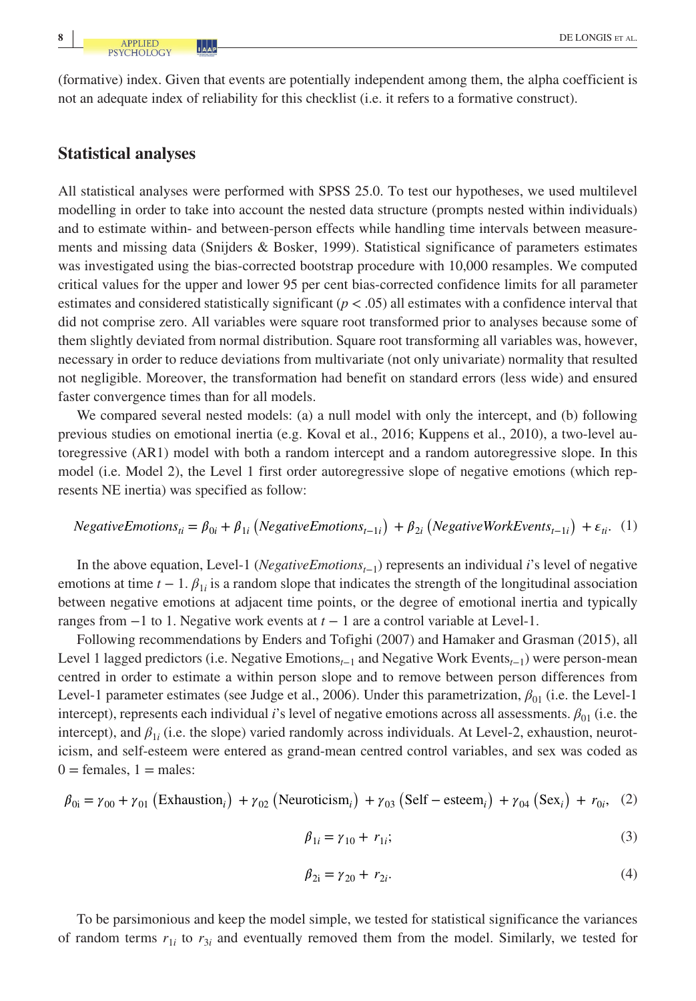(formative) index. Given that events are potentially independent among them, the alpha coefficient is not an adequate index of reliability for this checklist (i.e. it refers to a formative construct).

# **Statistical analyses**

All statistical analyses were performed with SPSS 25.0. To test our hypotheses, we used multilevel modelling in order to take into account the nested data structure (prompts nested within individuals) and to estimate within- and between-person effects while handling time intervals between measurements and missing data (Snijders & Bosker, 1999). Statistical significance of parameters estimates was investigated using the bias-corrected bootstrap procedure with 10,000 resamples. We computed critical values for the upper and lower 95 per cent bias-corrected confidence limits for all parameter estimates and considered statistically significant  $(p < .05)$  all estimates with a confidence interval that did not comprise zero. All variables were square root transformed prior to analyses because some of them slightly deviated from normal distribution. Square root transforming all variables was, however, necessary in order to reduce deviations from multivariate (not only univariate) normality that resulted not negligible. Moreover, the transformation had benefit on standard errors (less wide) and ensured faster convergence times than for all models.

We compared several nested models: (a) a null model with only the intercept, and (b) following previous studies on emotional inertia (e.g. Koval et al., 2016; Kuppens et al., 2010), a two-level autoregressive (AR1) model with both a random intercept and a random autoregressive slope. In this model (i.e. Model 2), the Level 1 first order autoregressive slope of negative emotions (which represents NE inertia) was specified as follow:

NegativeEmotions<sub>ti</sub> = 
$$
\beta_{0i} + \beta_{1i}
$$
 (NegativeEmotions<sub>t-1i</sub>) +  $\beta_{2i}$  (NegativeWorkEvents<sub>t-1i</sub>) +  $\varepsilon_{ti}$ . (1)

In the above equation, Level-1 (*NegativeEmotionst*−1) represents an individual *i*'s level of negative emotions at time  $t - 1$ .  $\beta_{1i}$  is a random slope that indicates the strength of the longitudinal association between negative emotions at adjacent time points, or the degree of emotional inertia and typically ranges from −1 to 1. Negative work events at *t* − 1 are a control variable at Level-1.

Following recommendations by Enders and Tofighi (2007) and Hamaker and Grasman (2015), all Level 1 lagged predictors (i.e. Negative Emotions*t*−1 and Negative Work Events*t*−1) were person-mean centred in order to estimate a within person slope and to remove between person differences from Level-1 parameter estimates (see Judge et al., 2006). Under this parametrization,  $\beta_{01}$  (i.e. the Level-1 intercept), represents each individual *i*'s level of negative emotions across all assessments. *β*01 (i.e. the intercept), and  $\beta_{1i}$  (i.e. the slope) varied randomly across individuals. At Level-2, exhaustion, neuroticism, and self-esteem were entered as grand-mean centred control variables, and sex was coded as  $0 =$  females,  $1 =$  males:

$$
\beta_{0i} = \gamma_{00} + \gamma_{01} \left( \text{Exhaustion}_i \right) + \gamma_{02} \left( \text{Neuroticism}_i \right) + \gamma_{03} \left( \text{Self - esteem}_i \right) + \gamma_{04} \left( \text{Sex}_i \right) + r_{0i}, \quad (2)
$$

$$
\beta_{1i} = \gamma_{10} + r_{1i};\tag{3}
$$

$$
\beta_{2i} = \gamma_{20} + r_{2i}.\tag{4}
$$

To be parsimonious and keep the model simple, we tested for statistical significance the variances of random terms  $r_{1i}$  to  $r_{3i}$  and eventually removed them from the model. Similarly, we tested for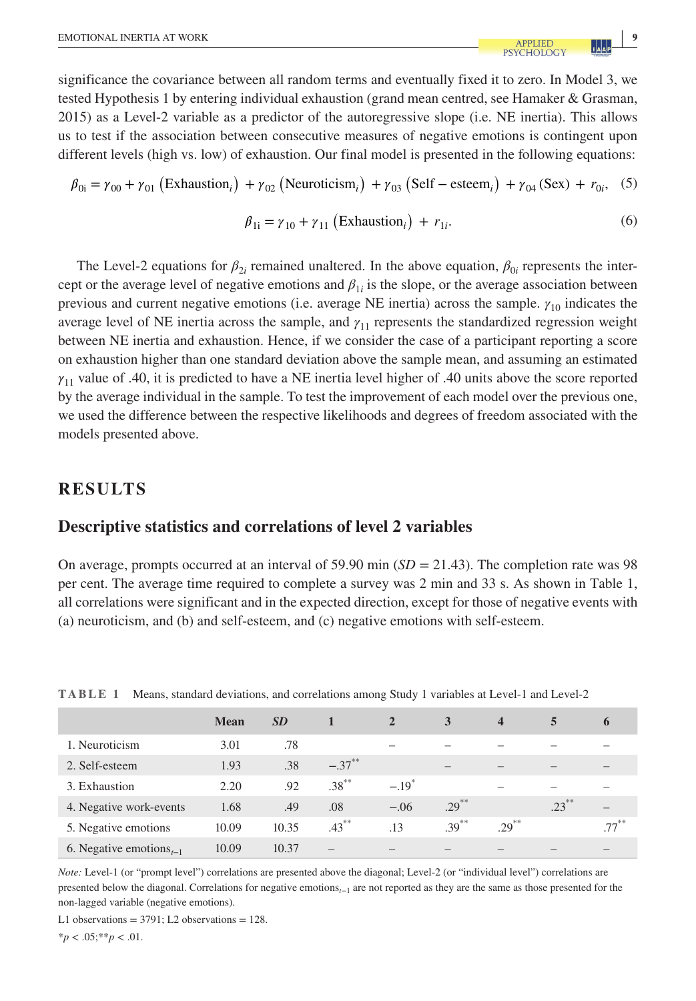significance the covariance between all random terms and eventually fixed it to zero. In Model 3, we tested Hypothesis 1 by entering individual exhaustion (grand mean centred, see Hamaker & Grasman, 2015) as a Level-2 variable as a predictor of the autoregressive slope (i.e. NE inertia). This allows us to test if the association between consecutive measures of negative emotions is contingent upon different levels (high vs. low) of exhaustion. Our final model is presented in the following equations:

$$
\beta_{0i} = \gamma_{00} + \gamma_{01} \left( \text{Exhaustion}_i \right) + \gamma_{02} \left( \text{Neuroticism}_i \right) + \gamma_{03} \left( \text{Self - esteem}_i \right) + \gamma_{04} \left( \text{Sex} \right) + r_{0i}, \quad (5)
$$

$$
\beta_{1i} = \gamma_{10} + \gamma_{11} \left( \text{Exhaustion}_i \right) + r_{1i}. \tag{6}
$$

The Level-2 equations for  $\beta_{2i}$  remained unaltered. In the above equation,  $\beta_{0i}$  represents the intercept or the average level of negative emotions and  $\beta_{1i}$  is the slope, or the average association between previous and current negative emotions (i.e. average NE inertia) across the sample. *γ*10 indicates the average level of NE inertia across the sample, and *γ*11 represents the standardized regression weight between NE inertia and exhaustion. Hence, if we consider the case of a participant reporting a score on exhaustion higher than one standard deviation above the sample mean, and assuming an estimated *γ*11 value of .40, it is predicted to have a NE inertia level higher of .40 units above the score reported by the average individual in the sample. To test the improvement of each model over the previous one, we used the difference between the respective likelihoods and degrees of freedom associated with the models presented above.

# **RESULTS**

#### **Descriptive statistics and correlations of level 2 variables**

On average, prompts occurred at an interval of 59.90 min (*SD* = 21.43). The completion rate was 98 per cent. The average time required to complete a survey was 2 min and 33 s. As shown in Table 1, all correlations were significant and in the expected direction, except for those of negative events with (a) neuroticism, and (b) and self-esteem, and (c) negative emotions with self-esteem.

|                                                  | <b>Mean</b> | <b>SD</b> |           | $\overline{2}$      | 3                        | $\overline{\mathbf{4}}$ | 5        | 6       |
|--------------------------------------------------|-------------|-----------|-----------|---------------------|--------------------------|-------------------------|----------|---------|
| 1. Neuroticism                                   | 3.01        | .78       |           | -                   |                          |                         |          |         |
| 2. Self-esteem                                   | 1.93        | .38       | $-.37***$ |                     | $\overline{\phantom{a}}$ |                         |          |         |
| 3. Exhaustion                                    | 2.20        | .92       | $.38***$  | $-.19$ <sup>*</sup> |                          |                         |          |         |
| 4. Negative work-events                          | 1.68        | .49       | .08       | $-.06$              | $.29***$                 |                         | $.23***$ |         |
| 5. Negative emotions                             | 10.09       | 10.35     | $.43***$  | .13                 | $.39***$                 | $.29***$                |          | $77***$ |
| 6. Negative emotions <sub><math>t-1</math></sub> | 10.09       | 10.37     |           |                     |                          |                         |          |         |

**TABLE 1** Means, standard deviations, and correlations among Study 1 variables at Level-1 and Level-2

*Note: Level-1* (or "prompt level") correlations are presented above the diagonal; Level-2 (or "individual level") correlations are presented below the diagonal. Correlations for negative emotions*t*−1 are not reported as they are the same as those presented for the non-lagged variable (negative emotions).

L1 observations  $= 3791$ ; L2 observations  $= 128$ .

 $*_{p}$  < .05; \*\**p* < .01.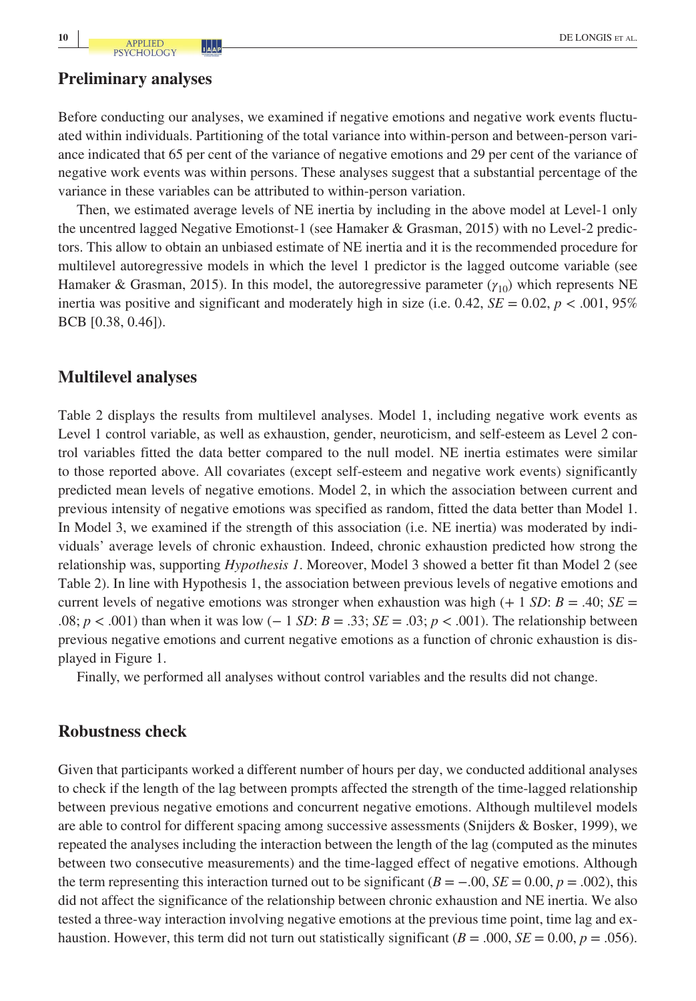#### **Preliminary analyses**

Before conducting our analyses, we examined if negative emotions and negative work events fluctuated within individuals. Partitioning of the total variance into within-person and between-person variance indicated that 65 per cent of the variance of negative emotions and 29 per cent of the variance of negative work events was within persons. These analyses suggest that a substantial percentage of the variance in these variables can be attributed to within-person variation.

Then, we estimated average levels of NE inertia by including in the above model at Level-1 only the uncentred lagged Negative Emotionst-1 (see Hamaker & Grasman, 2015) with no Level-2 predictors. This allow to obtain an unbiased estimate of NE inertia and it is the recommended procedure for multilevel autoregressive models in which the level 1 predictor is the lagged outcome variable (see Hamaker & Grasman, 2015). In this model, the autoregressive parameter  $(\gamma_{10})$  which represents NE inertia was positive and significant and moderately high in size (i.e.  $0.42$ ,  $SE = 0.02$ ,  $p < .001$ ,  $95\%$ BCB [0.38, 0.46]).

#### **Multilevel analyses**

Table 2 displays the results from multilevel analyses. Model 1, including negative work events as Level 1 control variable, as well as exhaustion, gender, neuroticism, and self-esteem as Level 2 control variables fitted the data better compared to the null model. NE inertia estimates were similar to those reported above. All covariates (except self-esteem and negative work events) significantly predicted mean levels of negative emotions. Model 2, in which the association between current and previous intensity of negative emotions was specified as random, fitted the data better than Model 1. In Model 3, we examined if the strength of this association (i.e. NE inertia) was moderated by individuals' average levels of chronic exhaustion. Indeed, chronic exhaustion predicted how strong the relationship was, supporting *Hypothesis 1*. Moreover, Model 3 showed a better fit than Model 2 (see Table 2). In line with Hypothesis 1, the association between previous levels of negative emotions and current levels of negative emotions was stronger when exhaustion was high  $(+ 1 SD: B = .40; SE =$ .08; *p* < .001) than when it was low (− 1 *SD*: *B* = .33; *SE* = .03; *p* < .001). The relationship between previous negative emotions and current negative emotions as a function of chronic exhaustion is displayed in Figure 1.

Finally, we performed all analyses without control variables and the results did not change.

### **Robustness check**

Given that participants worked a different number of hours per day, we conducted additional analyses to check if the length of the lag between prompts affected the strength of the time-lagged relationship between previous negative emotions and concurrent negative emotions. Although multilevel models are able to control for different spacing among successive assessments (Snijders & Bosker, 1999), we repeated the analyses including the interaction between the length of the lag (computed as the minutes between two consecutive measurements) and the time-lagged effect of negative emotions. Although the term representing this interaction turned out to be significant ( $B = -0.00$ ,  $SE = 0.00$ ,  $p = 0.002$ ), this did not affect the significance of the relationship between chronic exhaustion and NE inertia. We also tested a three-way interaction involving negative emotions at the previous time point, time lag and exhaustion. However, this term did not turn out statistically significant ( $B = .000$ ,  $SE = 0.00$ ,  $p = .056$ ).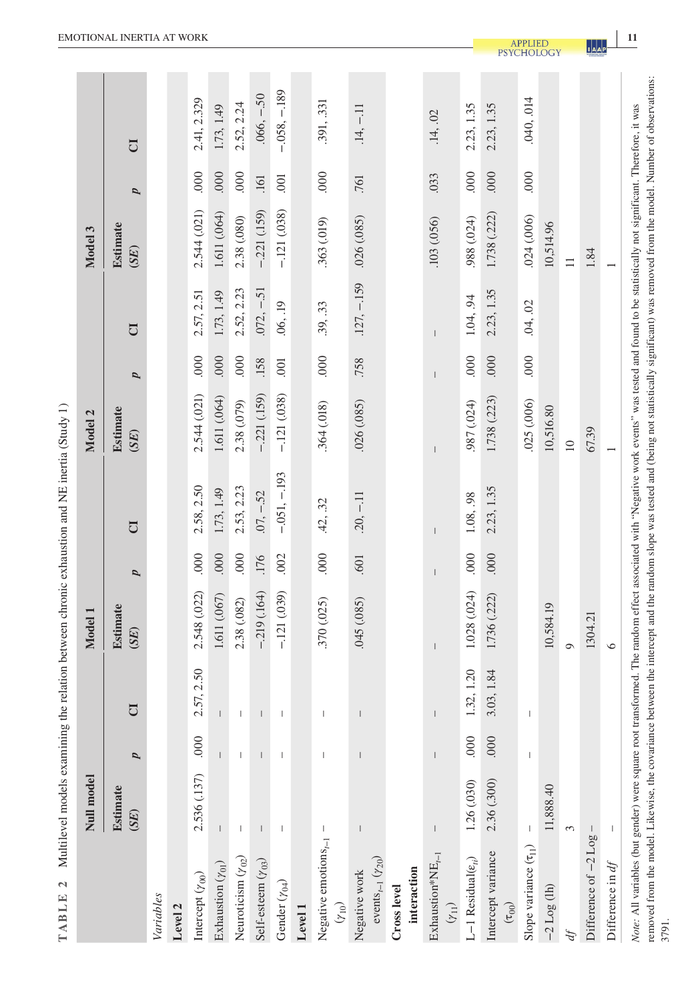| ļ                             |
|-------------------------------|
|                               |
|                               |
|                               |
| ļ<br>l                        |
|                               |
| ļ<br>ŗ<br>ì                   |
| i                             |
|                               |
|                               |
|                               |
| i                             |
|                               |
| i                             |
|                               |
|                               |
|                               |
|                               |
|                               |
| races less                    |
|                               |
| i                             |
| ć                             |
|                               |
|                               |
|                               |
| THE PLAN OF A STRIP           |
|                               |
|                               |
|                               |
|                               |
|                               |
| ۱                             |
| ì                             |
|                               |
| i                             |
|                               |
| J<br>$\overline{\phantom{a}}$ |
| R I F<br>ļ                    |
| l<br>₿                        |
| d                             |

|                                                                                                                                                                                                                                                                                                                                                                                                             | Null model               |                          |                                                                                                                                                                                                                                                                                                                                                                                                                | Model 1          |                |                | Model 2                 |      |               | Model 3          |      |                |
|-------------------------------------------------------------------------------------------------------------------------------------------------------------------------------------------------------------------------------------------------------------------------------------------------------------------------------------------------------------------------------------------------------------|--------------------------|--------------------------|----------------------------------------------------------------------------------------------------------------------------------------------------------------------------------------------------------------------------------------------------------------------------------------------------------------------------------------------------------------------------------------------------------------|------------------|----------------|----------------|-------------------------|------|---------------|------------------|------|----------------|
|                                                                                                                                                                                                                                                                                                                                                                                                             | <b>Estimate</b><br>(SE)  | p                        |                                                                                                                                                                                                                                                                                                                                                                                                                | Estimate<br>(SE) | $\overline{a}$ | $\overline{C}$ | <b>Estimate</b><br>(SE) | p    | U             | Estimate<br>(SE) | p    | U              |
| Variables                                                                                                                                                                                                                                                                                                                                                                                                   |                          |                          |                                                                                                                                                                                                                                                                                                                                                                                                                |                  |                |                |                         |      |               |                  |      |                |
| Level 2                                                                                                                                                                                                                                                                                                                                                                                                     |                          |                          |                                                                                                                                                                                                                                                                                                                                                                                                                |                  |                |                |                         |      |               |                  |      |                |
| Intercept $(\gamma_{00})$                                                                                                                                                                                                                                                                                                                                                                                   | 2.536 (.137)             | 000                      | .57, 2.50<br>$\mathcal{L}$                                                                                                                                                                                                                                                                                                                                                                                     | 2.548 (.022)     | 000            | 2.58, 2.50     | 2.544 (.021)            | 000  | 2.57, 2.51    | 2.544 (.021)     | .000 | 2.41, 2.329    |
| Exhaustion $(\gamma_{01})$                                                                                                                                                                                                                                                                                                                                                                                  | $\vert$                  |                          |                                                                                                                                                                                                                                                                                                                                                                                                                | 1.611 (.067)     | 000            | 1.73, 1.49     | 1.611 (.064)            | .000 | 1.73, 1.49    | 1.611 (.064)     | .000 | 1.73, 1.49     |
| Neuroticism $(\gamma_{02})$                                                                                                                                                                                                                                                                                                                                                                                 | $\overline{\phantom{a}}$ | $\overline{\phantom{a}}$ |                                                                                                                                                                                                                                                                                                                                                                                                                | 2.38 (.082)      | 000            | 2.53, 2.23     | 2.38 (.079)             | 000  | 2.52, 2.23    | 2.38 (.080)      | 000  | 2.52, 2.24     |
| Self-esteem $(\gamma_{03})$                                                                                                                                                                                                                                                                                                                                                                                 | $\mathsf I$              | $\mathsf{I}$             | $\overline{\phantom{a}}$                                                                                                                                                                                                                                                                                                                                                                                       | $-219(0.164)$    | .176           | $.07, -.52$    | $-221$ (.159)           | .158 | $.072, -.51$  | $-221(.159)$     | .161 | $.066, -.50$   |
| Gender $(\gamma_{04})$                                                                                                                                                                                                                                                                                                                                                                                      | -1                       |                          |                                                                                                                                                                                                                                                                                                                                                                                                                | $-.121(039)$     | .002           | $-.051, -193$  | $-121(038)$             | .001 | .06, .19      | $-121(038)$      | .001 | $-0.058, -189$ |
| Level 1                                                                                                                                                                                                                                                                                                                                                                                                     |                          |                          |                                                                                                                                                                                                                                                                                                                                                                                                                |                  |                |                |                         |      |               |                  |      |                |
| Negative emotions $_{t-1}$<br>$(Y_{10})$                                                                                                                                                                                                                                                                                                                                                                    | $\mathbf{I}$             | -1                       | $\begin{array}{c} \rule{0pt}{2ex} \rule{0pt}{2ex} \rule{0pt}{2ex} \rule{0pt}{2ex} \rule{0pt}{2ex} \rule{0pt}{2ex} \rule{0pt}{2ex} \rule{0pt}{2ex} \rule{0pt}{2ex} \rule{0pt}{2ex} \rule{0pt}{2ex} \rule{0pt}{2ex} \rule{0pt}{2ex} \rule{0pt}{2ex} \rule{0pt}{2ex} \rule{0pt}{2ex} \rule{0pt}{2ex} \rule{0pt}{2ex} \rule{0pt}{2ex} \rule{0pt}{2ex} \rule{0pt}{2ex} \rule{0pt}{2ex} \rule{0pt}{2ex} \rule{0pt}{$ | .370 (.025)      | 000            | .42, .32       | 364 (.018)              | 000  | .39, .33      | 363 (.019)       | 000  | .391, .331     |
| events <sub><math>t-1</math></sub> $(y_{20})$<br>Negative work                                                                                                                                                                                                                                                                                                                                              | $\mid$                   |                          |                                                                                                                                                                                                                                                                                                                                                                                                                | .045 (.085)      | .601           | $.20, -.11$    | .026(.085)              | .758 | $.127, -.159$ | .026(.085)       | .761 | $.14, -.11$    |
| interaction<br>Cross level                                                                                                                                                                                                                                                                                                                                                                                  |                          |                          |                                                                                                                                                                                                                                                                                                                                                                                                                |                  |                |                |                         |      |               |                  |      |                |
| $Exhaustion*NE_{t-1}$<br>$(\gamma_{11})$                                                                                                                                                                                                                                                                                                                                                                    |                          | $\mathsf{I}$             | L                                                                                                                                                                                                                                                                                                                                                                                                              |                  |                |                |                         |      | $\mathsf{I}$  | .103 (.056)      | .033 | .14, .02       |
| L-1 Residual $(\varepsilon_{\scriptscriptstyle H})$                                                                                                                                                                                                                                                                                                                                                         | 1.26 (.030)              | 000                      | 32, 1.20                                                                                                                                                                                                                                                                                                                                                                                                       | 1.028 (.024)     | 000            | 1.08, 98       | 987 (.024)              | 000  | 1.04, 94      | .988 (.024)      | 000  | 2.23, 1.35     |
| Intercept variance<br>$(\tau_{00})$                                                                                                                                                                                                                                                                                                                                                                         | 2.36 (.300)              | .000                     | .03, 1.84<br>$\tilde{\xi}$                                                                                                                                                                                                                                                                                                                                                                                     | 1.736 (.222)     | 000            | 2.23, 1.35     | 1.738 (.223)            | .000 | 2.23, 1.35    | 1.738 (.222)     | 000  | 2.23, 1.35     |
| Slope variance $(\tau_{11})$                                                                                                                                                                                                                                                                                                                                                                                |                          | $\mathbf{I}$             | $\begin{array}{c} \rule{0pt}{2.5ex} \rule{0pt}{2.5ex} \rule{0pt}{2.5ex} \rule{0pt}{2.5ex} \rule{0pt}{2.5ex} \rule{0pt}{2.5ex} \rule{0pt}{2.5ex} \rule{0pt}{2.5ex} \rule{0pt}{2.5ex} \rule{0pt}{2.5ex} \rule{0pt}{2.5ex} \rule{0pt}{2.5ex} \rule{0pt}{2.5ex} \rule{0pt}{2.5ex} \rule{0pt}{2.5ex} \rule{0pt}{2.5ex} \rule{0pt}{2.5ex} \rule{0pt}{2.5ex} \rule{0pt}{2.5ex} \rule{0$                               |                  |                |                | .025(.006)              | 000  | .04, .02      | .024(.006)       | 000  | .040, .014     |
| $-2$ Log (lh)                                                                                                                                                                                                                                                                                                                                                                                               | 11,888.40                |                          |                                                                                                                                                                                                                                                                                                                                                                                                                | 10,584.19        |                |                | 10,516.80               |      |               | 10,514.96        |      |                |
| ď                                                                                                                                                                                                                                                                                                                                                                                                           | $\infty$                 |                          |                                                                                                                                                                                                                                                                                                                                                                                                                | $\circ$          |                |                | $\square$               |      |               | $\equiv$         |      |                |
| Difference of $-2$ Log-                                                                                                                                                                                                                                                                                                                                                                                     |                          |                          |                                                                                                                                                                                                                                                                                                                                                                                                                | 1304.21          |                |                | 67.39                   |      |               | 1.84             |      |                |
| Difference in $df$                                                                                                                                                                                                                                                                                                                                                                                          | $\mathsf I$              |                          |                                                                                                                                                                                                                                                                                                                                                                                                                | $\circ$          |                |                |                         |      |               |                  |      |                |
| removed from the model. Likewise, the covariance between the intercept and the random slope was tested and (being not statistically significant) was removed from the model. Number of observations:<br>Note: All variables (but gender) were square root transformed. The random effect associated with "Negative work events" was tested and found to be statistically not significant. Therefore, it was |                          |                          |                                                                                                                                                                                                                                                                                                                                                                                                                |                  |                |                |                         |      |               |                  |      |                |

**EMOTIONAL INERTIA AT WORK APPLIED PSYCHOLOGY <b>11**<br>PSYCHOLOGY **14AP** 

3791.

**1**<br>**1**<br>**A**<br>**A**<br>**P**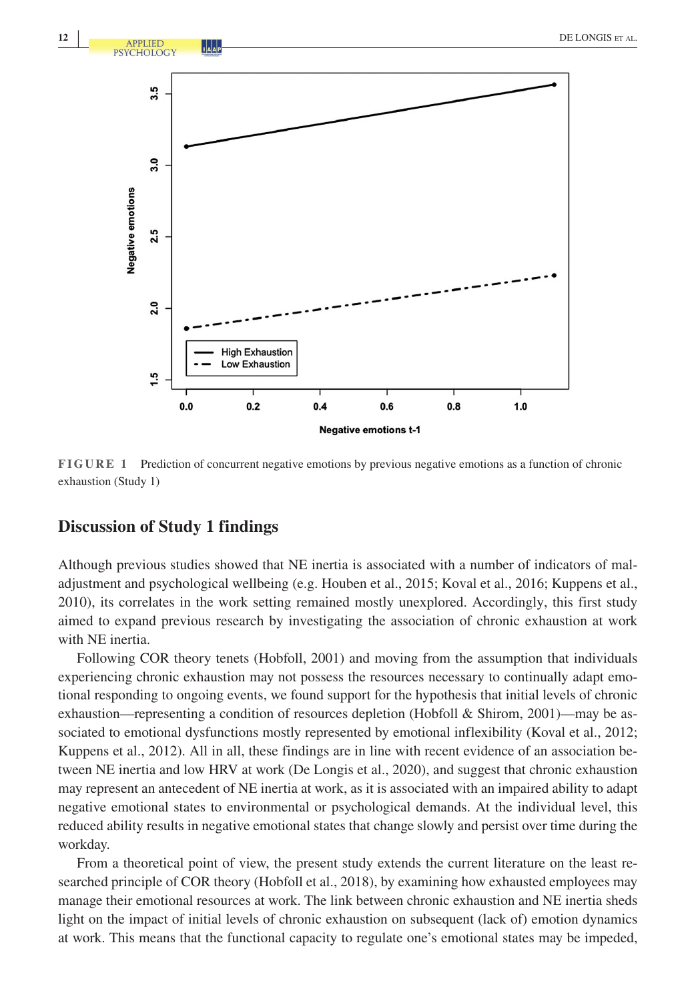

**FIGURE 1** Prediction of concurrent negative emotions by previous negative emotions as a function of chronic exhaustion (Study 1)

# **Discussion of Study 1 findings**

Although previous studies showed that NE inertia is associated with a number of indicators of maladjustment and psychological wellbeing (e.g. Houben et al., 2015; Koval et al., 2016; Kuppens et al., 2010), its correlates in the work setting remained mostly unexplored. Accordingly, this first study aimed to expand previous research by investigating the association of chronic exhaustion at work with NE inertia.

Following COR theory tenets (Hobfoll, 2001) and moving from the assumption that individuals experiencing chronic exhaustion may not possess the resources necessary to continually adapt emotional responding to ongoing events, we found support for the hypothesis that initial levels of chronic exhaustion—representing a condition of resources depletion (Hobfoll & Shirom, 2001)—may be associated to emotional dysfunctions mostly represented by emotional inflexibility (Koval et al., 2012; Kuppens et al., 2012). All in all, these findings are in line with recent evidence of an association between NE inertia and low HRV at work (De Longis et al., 2020), and suggest that chronic exhaustion may represent an antecedent of NE inertia at work, as it is associated with an impaired ability to adapt negative emotional states to environmental or psychological demands. At the individual level, this reduced ability results in negative emotional states that change slowly and persist over time during the workday.

From a theoretical point of view, the present study extends the current literature on the least researched principle of COR theory (Hobfoll et al., 2018), by examining how exhausted employees may manage their emotional resources at work. The link between chronic exhaustion and NE inertia sheds light on the impact of initial levels of chronic exhaustion on subsequent (lack of) emotion dynamics at work. This means that the functional capacity to regulate one's emotional states may be impeded,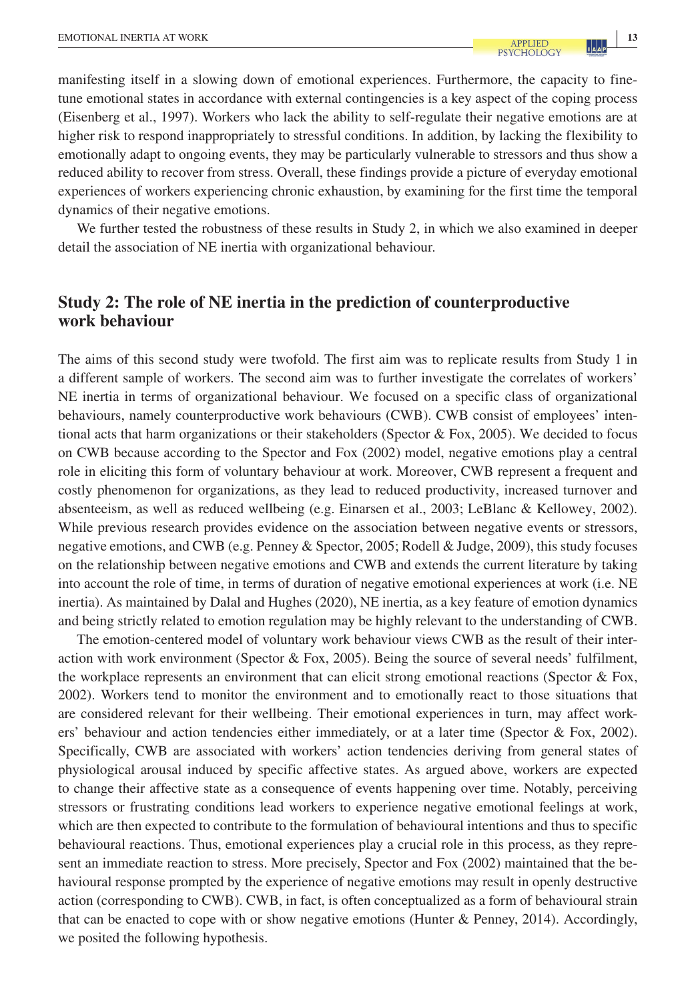manifesting itself in a slowing down of emotional experiences. Furthermore, the capacity to finetune emotional states in accordance with external contingencies is a key aspect of the coping process (Eisenberg et al., 1997). Workers who lack the ability to self-regulate their negative emotions are at higher risk to respond inappropriately to stressful conditions. In addition, by lacking the flexibility to emotionally adapt to ongoing events, they may be particularly vulnerable to stressors and thus show a reduced ability to recover from stress. Overall, these findings provide a picture of everyday emotional experiences of workers experiencing chronic exhaustion, by examining for the first time the temporal dynamics of their negative emotions.

We further tested the robustness of these results in Study 2, in which we also examined in deeper detail the association of NE inertia with organizational behaviour.

# **Study 2: The role of NE inertia in the prediction of counterproductive work behaviour**

The aims of this second study were twofold. The first aim was to replicate results from Study 1 in a different sample of workers. The second aim was to further investigate the correlates of workers' NE inertia in terms of organizational behaviour. We focused on a specific class of organizational behaviours, namely counterproductive work behaviours (CWB). CWB consist of employees' intentional acts that harm organizations or their stakeholders (Spector  $\&$  Fox, 2005). We decided to focus on CWB because according to the Spector and Fox (2002) model, negative emotions play a central role in eliciting this form of voluntary behaviour at work. Moreover, CWB represent a frequent and costly phenomenon for organizations, as they lead to reduced productivity, increased turnover and absenteeism, as well as reduced wellbeing (e.g. Einarsen et al., 2003; LeBlanc & Kellowey, 2002). While previous research provides evidence on the association between negative events or stressors, negative emotions, and CWB (e.g. Penney & Spector, 2005; Rodell & Judge, 2009), this study focuses on the relationship between negative emotions and CWB and extends the current literature by taking into account the role of time, in terms of duration of negative emotional experiences at work (i.e. NE inertia). As maintained by Dalal and Hughes (2020), NE inertia, as a key feature of emotion dynamics and being strictly related to emotion regulation may be highly relevant to the understanding of CWB.

The emotion-centered model of voluntary work behaviour views CWB as the result of their interaction with work environment (Spector & Fox, 2005). Being the source of several needs' fulfilment, the workplace represents an environment that can elicit strong emotional reactions (Spector & Fox, 2002). Workers tend to monitor the environment and to emotionally react to those situations that are considered relevant for their wellbeing. Their emotional experiences in turn, may affect workers' behaviour and action tendencies either immediately, or at a later time (Spector & Fox, 2002). Specifically, CWB are associated with workers' action tendencies deriving from general states of physiological arousal induced by specific affective states. As argued above, workers are expected to change their affective state as a consequence of events happening over time. Notably, perceiving stressors or frustrating conditions lead workers to experience negative emotional feelings at work, which are then expected to contribute to the formulation of behavioural intentions and thus to specific behavioural reactions. Thus, emotional experiences play a crucial role in this process, as they represent an immediate reaction to stress. More precisely, Spector and Fox (2002) maintained that the behavioural response prompted by the experience of negative emotions may result in openly destructive action (corresponding to CWB). CWB, in fact, is often conceptualized as a form of behavioural strain that can be enacted to cope with or show negative emotions (Hunter & Penney, 2014). Accordingly, we posited the following hypothesis.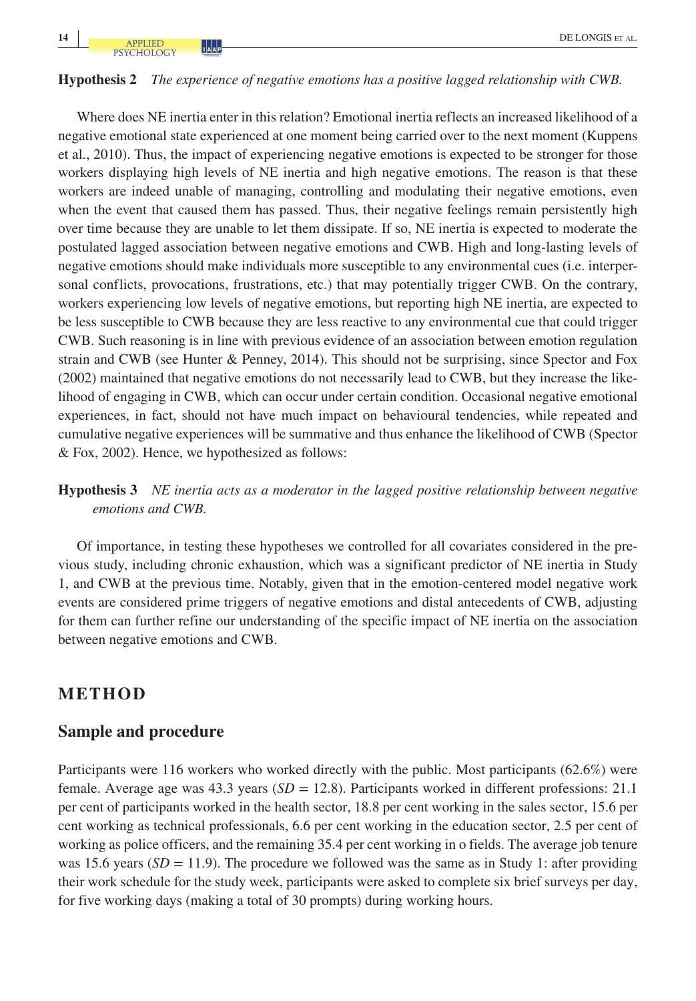#### **Hypothesis 2** *The experience of negative emotions has a positive lagged relationship with CWB.*

Where does NE inertia enter in this relation? Emotional inertia reflects an increased likelihood of a negative emotional state experienced at one moment being carried over to the next moment (Kuppens et al., 2010). Thus, the impact of experiencing negative emotions is expected to be stronger for those workers displaying high levels of NE inertia and high negative emotions. The reason is that these workers are indeed unable of managing, controlling and modulating their negative emotions, even when the event that caused them has passed. Thus, their negative feelings remain persistently high over time because they are unable to let them dissipate. If so, NE inertia is expected to moderate the postulated lagged association between negative emotions and CWB. High and long-lasting levels of negative emotions should make individuals more susceptible to any environmental cues (i.e. interpersonal conflicts, provocations, frustrations, etc.) that may potentially trigger CWB. On the contrary, workers experiencing low levels of negative emotions, but reporting high NE inertia, are expected to be less susceptible to CWB because they are less reactive to any environmental cue that could trigger CWB. Such reasoning is in line with previous evidence of an association between emotion regulation strain and CWB (see Hunter & Penney, 2014). This should not be surprising, since Spector and Fox (2002) maintained that negative emotions do not necessarily lead to CWB, but they increase the likelihood of engaging in CWB, which can occur under certain condition. Occasional negative emotional experiences, in fact, should not have much impact on behavioural tendencies, while repeated and cumulative negative experiences will be summative and thus enhance the likelihood of CWB (Spector & Fox, 2002). Hence, we hypothesized as follows:

# **Hypothesis 3** *NE inertia acts as a moderator in the lagged positive relationship between negative emotions and CWB.*

Of importance, in testing these hypotheses we controlled for all covariates considered in the previous study, including chronic exhaustion, which was a significant predictor of NE inertia in Study 1, and CWB at the previous time. Notably, given that in the emotion-centered model negative work events are considered prime triggers of negative emotions and distal antecedents of CWB, adjusting for them can further refine our understanding of the specific impact of NE inertia on the association between negative emotions and CWB.

# **METHOD**

#### **Sample and procedure**

Participants were 116 workers who worked directly with the public. Most participants (62.6%) were female. Average age was 43.3 years (*SD* = 12.8). Participants worked in different professions: 21.1 per cent of participants worked in the health sector, 18.8 per cent working in the sales sector, 15.6 per cent working as technical professionals, 6.6 per cent working in the education sector, 2.5 per cent of working as police officers, and the remaining 35.4 per cent working in o fields. The average job tenure was 15.6 years  $(SD = 11.9)$ . The procedure we followed was the same as in Study 1: after providing their work schedule for the study week, participants were asked to complete six brief surveys per day, for five working days (making a total of 30 prompts) during working hours.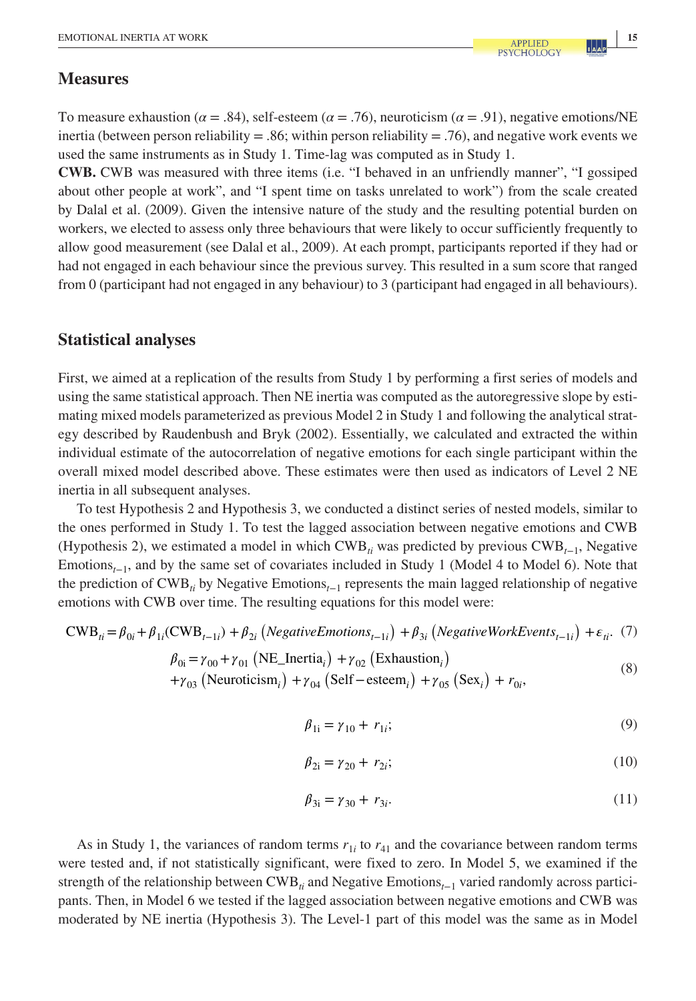# **Measures**

To measure exhaustion ( $\alpha$  = .84), self-esteem ( $\alpha$  = .76), neuroticism ( $\alpha$  = .91), negative emotions/NE inertia (between person reliability = .86; within person reliability = .76), and negative work events we used the same instruments as in Study 1. Time-lag was computed as in Study 1.

**CWB.** CWB was measured with three items (i.e. "I behaved in an unfriendly manner", "I gossiped about other people at work", and "I spent time on tasks unrelated to work") from the scale created by Dalal et al. (2009). Given the intensive nature of the study and the resulting potential burden on workers, we elected to assess only three behaviours that were likely to occur sufficiently frequently to allow good measurement (see Dalal et al., 2009). At each prompt, participants reported if they had or had not engaged in each behaviour since the previous survey. This resulted in a sum score that ranged from 0 (participant had not engaged in any behaviour) to 3 (participant had engaged in all behaviours).

# **Statistical analyses**

First, we aimed at a replication of the results from Study 1 by performing a first series of models and using the same statistical approach. Then NE inertia was computed as the autoregressive slope by estimating mixed models parameterized as previous Model 2 in Study 1 and following the analytical strategy described by Raudenbush and Bryk (2002). Essentially, we calculated and extracted the within individual estimate of the autocorrelation of negative emotions for each single participant within the overall mixed model described above. These estimates were then used as indicators of Level 2 NE inertia in all subsequent analyses.

To test Hypothesis 2 and Hypothesis 3, we conducted a distinct series of nested models, similar to the ones performed in Study 1. To test the lagged association between negative emotions and CWB (Hypothesis 2), we estimated a model in which CWB*ti* was predicted by previous CWB*t*−1, Negative Emotions*t*−1, and by the same set of covariates included in Study 1 (Model 4 to Model 6). Note that the prediction of CWB*ti* by Negative Emotions*t*−1 represents the main lagged relationship of negative emotions with CWB over time. The resulting equations for this model were:

$$
CWB_{ii} = \beta_{0i} + \beta_{1i}(CWB_{t-1i}) + \beta_{2i} (NegativeEmotions_{t-1i}) + \beta_{3i} (NegativeWorkEvents_{t-1i}) + \varepsilon_{ii}. (7)
$$
  
\n
$$
\beta_{0i} = \gamma_{00} + \gamma_{01} (NE\_Inertia_{i}) + \gamma_{02} (Exhaustion_{i}) + \gamma_{03} (Neuroticism_{i}) + \gamma_{04} (Self - esteem_{i}) + \gamma_{05} (Sex_{i}) + r_{0i},
$$
\n(8)

$$
\beta_{1i} = \gamma_{10} + r_{1i};\tag{9}
$$

$$
\beta_{2i} = \gamma_{20} + r_{2i};\tag{10}
$$

$$
\beta_{3i} = \gamma_{30} + r_{3i}.\tag{11}
$$

As in Study 1, the variances of random terms  $r_{1i}$  to  $r_{41}$  and the covariance between random terms were tested and, if not statistically significant, were fixed to zero. In Model 5, we examined if the strength of the relationship between CWB<sub>ti</sub> and Negative Emotions<sub>*t*−1</sub> varied randomly across participants. Then, in Model 6 we tested if the lagged association between negative emotions and CWB was moderated by NE inertia (Hypothesis 3). The Level-1 part of this model was the same as in Model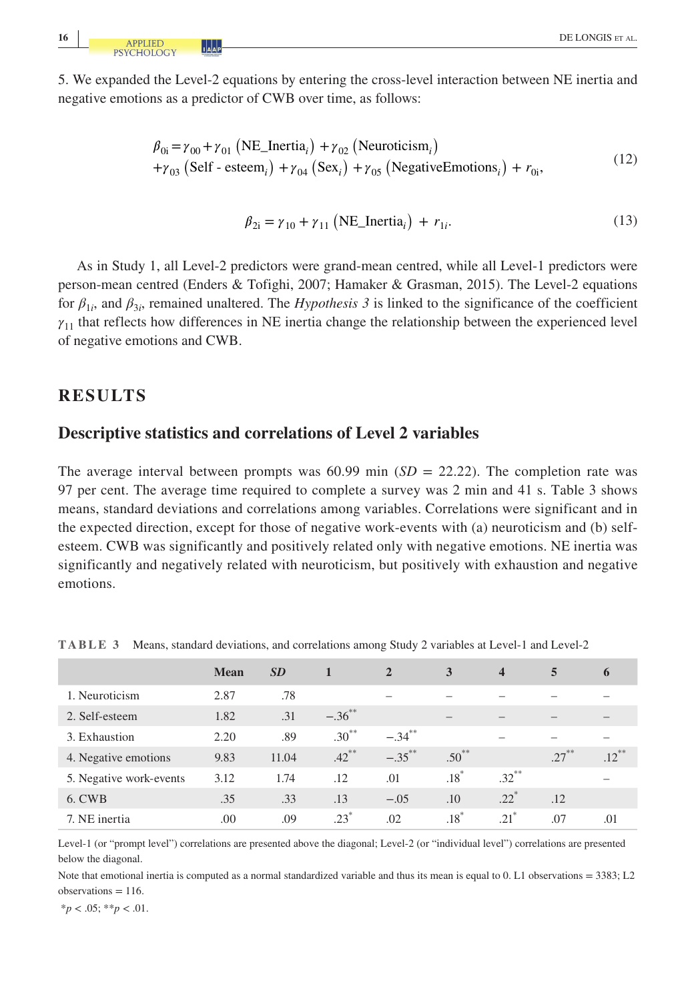5. We expanded the Level-2 equations by entering the cross-level interaction between NE inertia and negative emotions as a predictor of CWB over time, as follows:

$$
\begin{aligned} \n\beta_{0i} &= \gamma_{00} + \gamma_{01} \left( \text{NE\_Inertia}_i \right) + \gamma_{02} \left( \text{Neuroticism}_i \right) \\ \n&+ \gamma_{03} \left( \text{Self - esteem}_i \right) + \gamma_{04} \left( \text{Sex}_i \right) + \gamma_{05} \left( \text{NegativeEmotions}_i \right) + r_{0i}, \n\end{aligned} \tag{12}
$$

$$
\beta_{2i} = \gamma_{10} + \gamma_{11} \left( \text{NE\_Inertia}_i \right) + r_{1i}.
$$
\n(13)

As in Study 1, all Level-2 predictors were grand-mean centred, while all Level-1 predictors were person-mean centred (Enders & Tofighi, 2007; Hamaker & Grasman, 2015). The Level-2 equations for  $\beta_{1i}$ , and  $\beta_{3i}$ , remained unaltered. The *Hypothesis 3* is linked to the significance of the coefficient *γ*11 that reflects how differences in NE inertia change the relationship between the experienced level of negative emotions and CWB.

# **RESULTS**

### **Descriptive statistics and correlations of Level 2 variables**

The average interval between prompts was  $60.99$  min  $(SD = 22.22)$ . The completion rate was 97 per cent. The average time required to complete a survey was 2 min and 41 s. Table 3 shows means, standard deviations and correlations among variables. Correlations were significant and in the expected direction, except for those of negative work-events with (a) neuroticism and (b) selfesteem. CWB was significantly and positively related only with negative emotions. NE inertia was significantly and negatively related with neuroticism, but positively with exhaustion and negative emotions.

|                         | <b>Mean</b> | <b>SD</b> |                      | $\overline{2}$ | 3                  | $\overline{\mathbf{4}}$ | 5         | 6        |
|-------------------------|-------------|-----------|----------------------|----------------|--------------------|-------------------------|-----------|----------|
| 1. Neuroticism          | 2.87        | .78       |                      |                |                    |                         |           |          |
| 2. Self-esteem          | 1.82        | .31       | $-.36$ <sup>**</sup> |                |                    |                         |           |          |
| 3. Exhaustion           | 2.20        | .89       | $.30***$             | $-.34***$      |                    |                         |           |          |
| 4. Negative emotions    | 9.83        | 11.04     | $.42***$             | $-.35***$      | $.50***$           |                         | $27^{**}$ | $.12***$ |
| 5. Negative work-events | 3.12        | 1.74      | .12                  | .01            | $.18*$             | $.32***$                |           |          |
| 6. CWB                  | .35         | .33       | .13                  | $-.05$         | .10                | $.22*$                  | .12       |          |
| 7. NE inertia           | .00         | .09       | $.23*$               | .02            | $.18$ <sup>*</sup> | $.21$ <sup>*</sup>      | .07       | .01      |

**TABLE 3** Means, standard deviations, and correlations among Study 2 variables at Level-1 and Level-2

Level-1 (or "prompt level") correlations are presented above the diagonal; Level-2 (or "individual level") correlations are presented below the diagonal.

Note that emotional inertia is computed as a normal standardized variable and thus its mean is equal to 0. L1 observations = 3383; L2  $observation = 116$ .

 $*_{p}$  < .05;  $*_{p}$  < .01.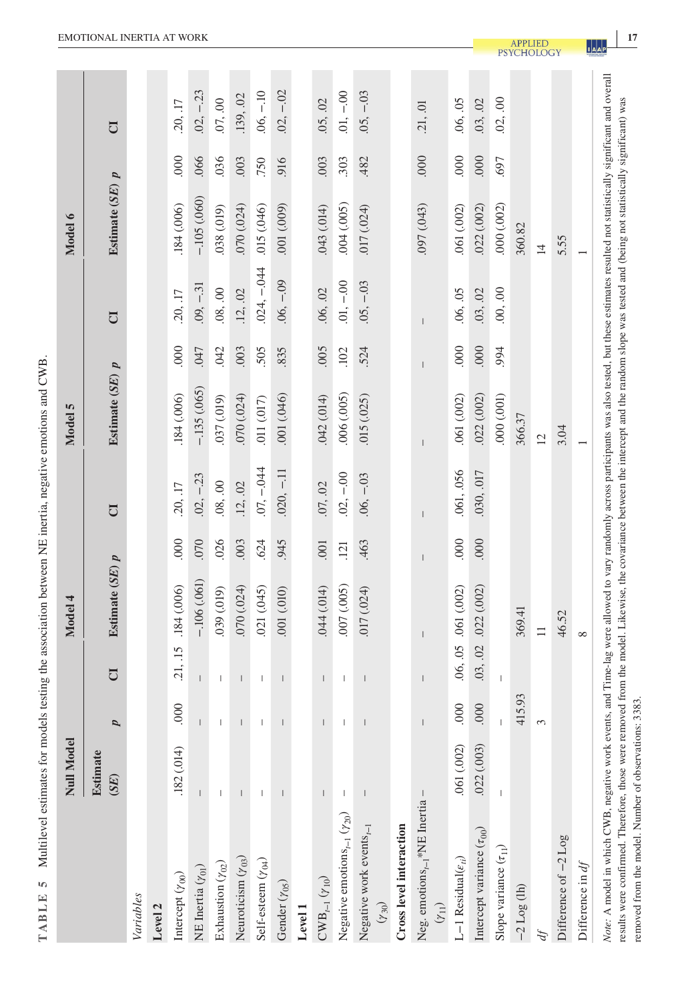| I                 |  |
|-------------------|--|
| $\frac{1}{2}$     |  |
|                   |  |
|                   |  |
|                   |  |
|                   |  |
|                   |  |
|                   |  |
|                   |  |
|                   |  |
|                   |  |
|                   |  |
|                   |  |
|                   |  |
|                   |  |
|                   |  |
|                   |  |
|                   |  |
|                   |  |
|                   |  |
|                   |  |
|                   |  |
| j                 |  |
|                   |  |
|                   |  |
|                   |  |
|                   |  |
|                   |  |
| į                 |  |
| Ì                 |  |
| l                 |  |
|                   |  |
|                   |  |
|                   |  |
| ŀ                 |  |
|                   |  |
| j                 |  |
|                   |  |
|                   |  |
|                   |  |
|                   |  |
|                   |  |
|                   |  |
|                   |  |
|                   |  |
|                   |  |
|                   |  |
|                   |  |
|                   |  |
|                   |  |
|                   |  |
|                   |  |
| í                 |  |
|                   |  |
|                   |  |
| ï                 |  |
|                   |  |
|                   |  |
| َة<br>ہ           |  |
|                   |  |
|                   |  |
|                   |  |
|                   |  |
| ֠                 |  |
|                   |  |
|                   |  |
|                   |  |
|                   |  |
|                   |  |
|                   |  |
| $\frac{1}{\zeta}$ |  |
|                   |  |
|                   |  |
|                   |  |
|                   |  |
|                   |  |
| l                 |  |
|                   |  |
|                   |  |
|                   |  |
|                   |  |
|                   |  |
|                   |  |
|                   |  |
|                   |  |
|                   |  |
|                   |  |
| l                 |  |
|                   |  |
|                   |  |
|                   |  |
|                   |  |
|                   |  |
|                   |  |
| į                 |  |
| j                 |  |
|                   |  |
|                   |  |
|                   |  |
|                   |  |
|                   |  |
| J                 |  |
|                   |  |
| l                 |  |
|                   |  |
| ٦                 |  |
| <br>              |  |
| ļ<br>ì            |  |
| I                 |  |
| d<br>ł            |  |
| F<br>į            |  |

|                                                                                                                                                                                                          | <b>Null Model</b>                     |                                |                                                                                                                                                                                                                                                                                                                                                                                  | Model 4              |      |                | Model 5             |            |                | Model 6             |         |                |
|----------------------------------------------------------------------------------------------------------------------------------------------------------------------------------------------------------|---------------------------------------|--------------------------------|----------------------------------------------------------------------------------------------------------------------------------------------------------------------------------------------------------------------------------------------------------------------------------------------------------------------------------------------------------------------------------|----------------------|------|----------------|---------------------|------------|----------------|---------------------|---------|----------------|
|                                                                                                                                                                                                          | Estimate<br>$(SE)$                    | p                              | $\overline{C}$                                                                                                                                                                                                                                                                                                                                                                   | Estimate $(SE)$ $p$  |      | U <sub>1</sub> | Estimate $(SE)$ $p$ |            | $\overline{C}$ | Estimate $(SE)$ $p$ |         | $\overline{C}$ |
| Variables                                                                                                                                                                                                |                                       |                                |                                                                                                                                                                                                                                                                                                                                                                                  |                      |      |                |                     |            |                |                     |         |                |
| Level <sub>2</sub>                                                                                                                                                                                       |                                       |                                |                                                                                                                                                                                                                                                                                                                                                                                  |                      |      |                |                     |            |                |                     |         |                |
| Intercept $(\gamma_{00})$                                                                                                                                                                                | .182(014)                             | 000                            | .21, .15                                                                                                                                                                                                                                                                                                                                                                         | .184 (.006)          | 000  | .20, .17       | 184 (.006)          | 000        | .20, .17       | 184 (.006)          | 000     | .20, .17       |
| NE Inertia $(\gamma_{01})$                                                                                                                                                                               | $\overline{1}$                        |                                | $\begin{array}{c} \end{array}$                                                                                                                                                                                                                                                                                                                                                   | $-.106(061)$         | .070 | $.02, -.23$    | $-135(065)$         | <b>CFO</b> | $.09, -31$     | $-105(060)$         | .066    | $.02, -.23$    |
| Exhaustion $(\gamma_{02})$                                                                                                                                                                               |                                       |                                | $\begin{array}{c} \end{array}$                                                                                                                                                                                                                                                                                                                                                   | 039 (.019)           | .026 | .08, .00       | .037 (.019)         | .042       | .08, .00       | .038 (.019)         | .036    | .07, .00       |
| Neuroticism $(\gamma_{03})$                                                                                                                                                                              |                                       |                                |                                                                                                                                                                                                                                                                                                                                                                                  | (070)(024)           | .003 | .12, .02       | .070(.024)          | .003       | .12, .02       | (070)(024)          | .003    | .139, .02      |
| Self-esteem $(\gamma_{04})$                                                                                                                                                                              | $\begin{array}{c} \hline \end{array}$ | $\mathbf{I}$                   | $\mid$                                                                                                                                                                                                                                                                                                                                                                           | 021 (.045)           | 624  | $.07, -.044$   | 011 (.017)          | 505        | $.024, -.044$  | .015(.046)          | .750    | $.06, -.10$    |
| Gender $(\gamma_{05})$                                                                                                                                                                                   | $\overline{1}$                        | $\mathsf{I}$                   | $\vert$                                                                                                                                                                                                                                                                                                                                                                          | (010, 100)           | 945  | $.020, -.11$   | 001 (.046)          | 835        | $.06, -.09$    | (600)(100)          | 916     | $.02, -.02$    |
| Level 1                                                                                                                                                                                                  |                                       |                                |                                                                                                                                                                                                                                                                                                                                                                                  |                      |      |                |                     |            |                |                     |         |                |
| $\mathrm{CWB}_{t-1}\left(\gamma_{10}\right)$                                                                                                                                                             | $\overline{\phantom{a}}$              |                                | $\overline{\phantom{a}}$                                                                                                                                                                                                                                                                                                                                                         | .044(.014)           | 001  | .07, .02       | .042(.014)          | 005        | .06, .02       | .043(.014)          | .003    | .05, .02       |
| Negative emotions $_{t-1}$ ( $\gamma_{20}$ )                                                                                                                                                             | $\mathsf I$                           | $\begin{array}{c} \end{array}$ | $\begin{array}{c} \rule{0pt}{2.5ex} \rule{0pt}{2.5ex} \rule{0pt}{2.5ex} \rule{0pt}{2.5ex} \rule{0pt}{2.5ex} \rule{0pt}{2.5ex} \rule{0pt}{2.5ex} \rule{0pt}{2.5ex} \rule{0pt}{2.5ex} \rule{0pt}{2.5ex} \rule{0pt}{2.5ex} \rule{0pt}{2.5ex} \rule{0pt}{2.5ex} \rule{0pt}{2.5ex} \rule{0pt}{2.5ex} \rule{0pt}{2.5ex} \rule{0pt}{2.5ex} \rule{0pt}{2.5ex} \rule{0pt}{2.5ex} \rule{0$ | 007 (.005)           | .121 | $.02, -.00$    | .006(.005)          | .102       | $.01, -.00$    | (001, 005)          | .303    | $.01, -.00$    |
| Negative work events $_{t-1}$<br>$(Y_{30})$                                                                                                                                                              | $\mathsf{I}$                          |                                | $\begin{array}{c} \rule{0pt}{2.5ex} \rule{0pt}{2.5ex} \rule{0pt}{2.5ex} \rule{0pt}{2.5ex} \rule{0pt}{2.5ex} \rule{0pt}{2.5ex} \rule{0pt}{2.5ex} \rule{0pt}{2.5ex} \rule{0pt}{2.5ex} \rule{0pt}{2.5ex} \rule{0pt}{2.5ex} \rule{0pt}{2.5ex} \rule{0pt}{2.5ex} \rule{0pt}{2.5ex} \rule{0pt}{2.5ex} \rule{0pt}{2.5ex} \rule{0pt}{2.5ex} \rule{0pt}{2.5ex} \rule{0pt}{2.5ex} \rule{0$ | 017 (.024)           | .463 | $.06, -.03$    | .015(.025)          | 524        | $.05, -03$     | 017 (.024)          | .482    | $.05, -.03$    |
| Cross level interaction                                                                                                                                                                                  |                                       |                                |                                                                                                                                                                                                                                                                                                                                                                                  |                      |      |                |                     |            |                |                     |         |                |
| Neg. emotions <sub>t-1</sub> *NE Inertia -<br>$(\gamma_{11})$                                                                                                                                            |                                       |                                |                                                                                                                                                                                                                                                                                                                                                                                  |                      |      |                |                     |            | $\overline{1}$ | 097 (.043)          | $000$ . | .21, .01       |
| $\mathrel{\mathop{\rule{.3pt}{.}}\hspace{.3pt}\mathrel{.}}\mathrel{--} 1$ Residual<br>( $\epsilon_{ti})$                                                                                                 | 061 (.002)                            | 000                            |                                                                                                                                                                                                                                                                                                                                                                                  | .06, .05 .061 (.002) | 000  | .061, .056     | 061 (.002)          | 000        | .06, .05       | .061 (.002)         | 000     | .06, .05       |
| Intercept variance $(\tau_{00})$                                                                                                                                                                         | .022(.003)                            | 000                            | .03, .02                                                                                                                                                                                                                                                                                                                                                                         | .022(.002)           | 000  | .030, .017     | .022(.002)          | 000        | .03, .02       | .022(.002)          | 000     | .03, .02       |
| Slope variance $(\tau_{11})$                                                                                                                                                                             | $\mathsf I$                           |                                | I                                                                                                                                                                                                                                                                                                                                                                                |                      |      |                | (100, 000)          | 994        | .00, .00       | .000(.002)          | .697    | .02, .00       |
| $-2$ Log (lh)                                                                                                                                                                                            |                                       | 415.93                         |                                                                                                                                                                                                                                                                                                                                                                                  | 369.41               |      |                | 366.37              |            |                | 360.82              |         |                |
|                                                                                                                                                                                                          |                                       | 3                              |                                                                                                                                                                                                                                                                                                                                                                                  | $\equiv$             |      |                | $\overline{c}$      |            |                | $\overline{4}$      |         |                |
| Difference of -2 Log                                                                                                                                                                                     |                                       |                                |                                                                                                                                                                                                                                                                                                                                                                                  | 46.52                |      |                | 3.04                |            |                | 5.55                |         |                |
| Difference in $df$                                                                                                                                                                                       |                                       |                                |                                                                                                                                                                                                                                                                                                                                                                                  | $\infty$             |      |                |                     |            |                |                     |         |                |
| Note: A model in which CWB, negative work events, and Time-lag were allowed to vary randomly across participants was also tested, but these estimates resulted not statistically significant and overall |                                       |                                |                                                                                                                                                                                                                                                                                                                                                                                  |                      |      |                |                     |            |                |                     |         |                |

 $\begin{bmatrix} 1 & a \\ a & b \end{bmatrix}$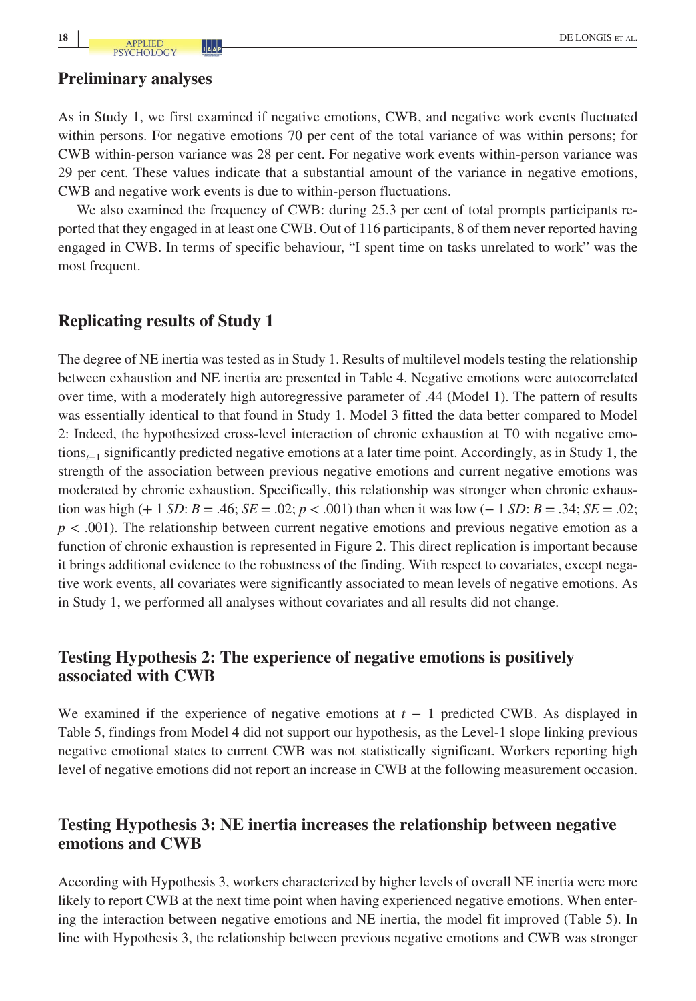#### **Preliminary analyses**

As in Study 1, we first examined if negative emotions, CWB, and negative work events fluctuated within persons. For negative emotions 70 per cent of the total variance of was within persons; for CWB within-person variance was 28 per cent. For negative work events within-person variance was 29 per cent. These values indicate that a substantial amount of the variance in negative emotions, CWB and negative work events is due to within-person fluctuations.

We also examined the frequency of CWB: during 25.3 per cent of total prompts participants reported that they engaged in at least one CWB. Out of 116 participants, 8 of them never reported having engaged in CWB. In terms of specific behaviour, "I spent time on tasks unrelated to work" was the most frequent.

# **Replicating results of Study 1**

The degree of NE inertia was tested as in Study 1. Results of multilevel models testing the relationship between exhaustion and NE inertia are presented in Table 4. Negative emotions were autocorrelated over time, with a moderately high autoregressive parameter of .44 (Model 1). The pattern of results was essentially identical to that found in Study 1. Model 3 fitted the data better compared to Model 2: Indeed, the hypothesized cross-level interaction of chronic exhaustion at T0 with negative emotions*t*−1 significantly predicted negative emotions at a later time point. Accordingly, as in Study 1, the strength of the association between previous negative emotions and current negative emotions was moderated by chronic exhaustion. Specifically, this relationship was stronger when chronic exhaustion was high (+ 1 *SD*: *B* = .46; *SE* = .02; *p* < .001) than when it was low (− 1 *SD*: *B* = .34; *SE* = .02; *p* < .001). The relationship between current negative emotions and previous negative emotion as a function of chronic exhaustion is represented in Figure 2. This direct replication is important because it brings additional evidence to the robustness of the finding. With respect to covariates, except negative work events, all covariates were significantly associated to mean levels of negative emotions. As in Study 1, we performed all analyses without covariates and all results did not change.

# **Testing Hypothesis 2: The experience of negative emotions is positively associated with CWB**

We examined if the experience of negative emotions at  $t - 1$  predicted CWB. As displayed in Table 5, findings from Model 4 did not support our hypothesis, as the Level-1 slope linking previous negative emotional states to current CWB was not statistically significant. Workers reporting high level of negative emotions did not report an increase in CWB at the following measurement occasion.

# **Testing Hypothesis 3: NE inertia increases the relationship between negative emotions and CWB**

According with Hypothesis 3, workers characterized by higher levels of overall NE inertia were more likely to report CWB at the next time point when having experienced negative emotions. When entering the interaction between negative emotions and NE inertia, the model fit improved (Table 5). In line with Hypothesis 3, the relationship between previous negative emotions and CWB was stronger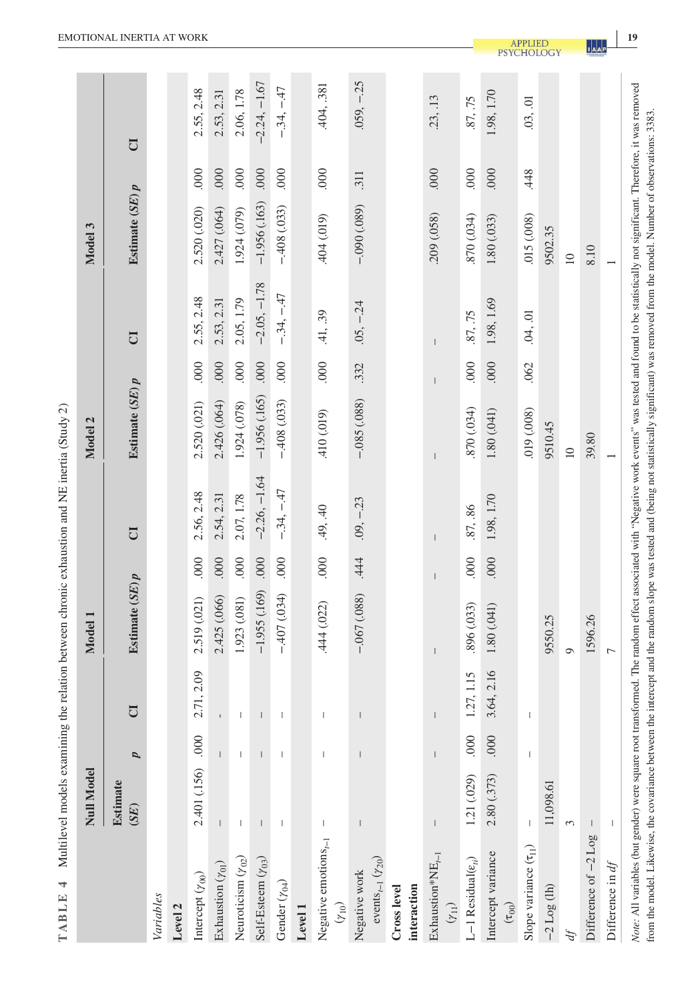| l                                           |
|---------------------------------------------|
|                                             |
|                                             |
| ļ                                           |
|                                             |
|                                             |
| l<br>,<br>l                                 |
| ׇ֓֕֡                                        |
| ì<br>l                                      |
| i                                           |
|                                             |
|                                             |
|                                             |
| i                                           |
| i                                           |
|                                             |
|                                             |
|                                             |
| <b>Section</b>                              |
|                                             |
| ï<br>i                                      |
|                                             |
|                                             |
|                                             |
| THE PLAN OF A STRIP                         |
|                                             |
|                                             |
|                                             |
| ֖֖֖ׅׅׅׅ֪֪ׅ֚֚֚֚֚֚֚֚֡֝֬֝֬֝֬֝֬֝֬֓֬֝֬֝֓֝֬֓֝֬֝֓֬ |
| ֪ׅ֬֓֕֡֡֡֡֡֡֡֡֡֡֡                            |
|                                             |
|                                             |
| j                                           |
| ļ                                           |
| E L H<br>l<br>╕                             |
| d                                           |

|                                                                                                                                                                                                             |                         |                                       |             |                                       |                | Multilevel models examining the relation between chronic exhaustion and NE inertia (Study 2) |                     |                                |                |                   |      |                |
|-------------------------------------------------------------------------------------------------------------------------------------------------------------------------------------------------------------|-------------------------|---------------------------------------|-------------|---------------------------------------|----------------|----------------------------------------------------------------------------------------------|---------------------|--------------------------------|----------------|-------------------|------|----------------|
|                                                                                                                                                                                                             | <b>Null Model</b>       |                                       |             | Model 1                               |                |                                                                                              | Model 2             |                                |                | Model 3           |      |                |
|                                                                                                                                                                                                             | <b>Estimate</b><br>(SE) | p                                     | É           | Estimate $(SE)p$                      |                | U                                                                                            | Estimate $(SE)$ $p$ |                                | U              | Estimate $(SE)$ p |      | U              |
| Variables                                                                                                                                                                                                   |                         |                                       |             |                                       |                |                                                                                              |                     |                                |                |                   |      |                |
| Level <sub>2</sub>                                                                                                                                                                                          |                         |                                       |             |                                       |                |                                                                                              |                     |                                |                |                   |      |                |
| Intercept $(\gamma_{00})$                                                                                                                                                                                   | 2.401 (.156)            | 000.                                  | 2.71, 2.09  | 2.519 (.021)                          | 000            | 2.56, 2.48                                                                                   | 2.520 (.021)        | .000                           | 2.55, 2.48     | 2.520 (.020)      | 000. | 2.55, 2.48     |
| Exhaustion $(\gamma_{01})$                                                                                                                                                                                  |                         |                                       |             | 2.425 (.066)                          | 000.           | 2.54, 2.31                                                                                   | 2.426 (.064)        | .000                           | 2.53, 2.31     | 2.427 (.064)      | 000. | 2.53, 2.31     |
| Neuroticism $(\gamma_{02})$                                                                                                                                                                                 | 1                       | $\begin{array}{c} \hline \end{array}$ |             | 1.923 (.081)                          | 000            | 2.07, 1.78                                                                                   | 1.924 (.078)        | 000                            | 2.05, 1.79     | 1.924 (.079)      | 000  | 2.06, 1.78     |
| Self-Esteem $(\gamma_{03})$                                                                                                                                                                                 |                         | L                                     |             | $-1.955(169)$                         | .000           | $-2.26, -1.64$                                                                               | $-1.956(.165)$      | .000                           | $-2.05, -1.78$ | $-1.956(.163)$    | .000 | $-2.24, -1.67$ |
| Gender $(\gamma_{04})$                                                                                                                                                                                      | T                       | T                                     |             | $-407(034)$                           | .000           | $-.34, -.47$                                                                                 | $-408(033)$         | .000                           | $-.34, -47$    | $-.408(.033)$     | 000. | $-.34, -.47$   |
| Level 1                                                                                                                                                                                                     |                         |                                       |             |                                       |                |                                                                                              |                     |                                |                |                   |      |                |
| Negative emotions $_{t-1}$<br>$(\gamma_{10})$                                                                                                                                                               |                         |                                       |             | .444 (.022)                           | 000            | .49, .40                                                                                     | 410 (.019)          | $000$ .                        | .41, .39       | 404 (.019)        | 000  | .404, .381     |
| events <sub><math>t-1</math></sub> $(y_{20})$<br>Negative work                                                                                                                                              |                         |                                       |             | $-.067(.088)$                         | .444           | $.09, -.23$                                                                                  | $-0.085$ $(.088)$   | .332                           | $.05, -24$     | $-0.090(0.089)$   | .311 | $.059, -25$    |
| interaction<br>Cross level                                                                                                                                                                                  |                         |                                       |             |                                       |                |                                                                                              |                     |                                |                |                   |      |                |
| $Exhaustion*NE_{r-1}$<br>$(\gamma_{11})$                                                                                                                                                                    | $\mid$                  | $\sf I$                               | $\mid$      | $\begin{array}{c} \hline \end{array}$ | $\overline{1}$ | $\begin{array}{c} \end{array}$                                                               |                     | $\begin{array}{c} \end{array}$ | $\sf I$        | .209 (.058)       | .000 | .23, 13        |
| L-1 Residual $(\varepsilon_{ti})$                                                                                                                                                                           | 1.21 (.029)             | 000                                   | 27, 1.15    | .896 (.033)                           | 000            | .87, .86                                                                                     | 870 (.034)          | 000                            | .87, .75       | 870 (.034)        | 000  | .87, .75       |
| Intercept variance<br>(50)                                                                                                                                                                                  | 2.80 (.373)             | $000$ .                               | 3.64, 2.16  | 1.80 (.041)                           | 000            | 1.98, 1.70                                                                                   | 1.80 (.041)         | 000                            | 1.98, 1.69     | 1.80(0.033)       | 000  | 1.98, 1.70     |
| Slope variance $(\tau_{11})$                                                                                                                                                                                | T                       | $\mathsf I$                           | $\mathsf I$ |                                       |                |                                                                                              | 019 (.008)          | .062                           | .04, .01       | .015 (.008)       | .448 | .03, .01       |
| $-2$ Log (lh)                                                                                                                                                                                               | 11,098.61               |                                       |             | 9550.25                               |                |                                                                                              | 9510.45             |                                |                | 9502.35           |      |                |
|                                                                                                                                                                                                             | 3                       |                                       |             | ⊝                                     |                |                                                                                              | $\supseteq$         |                                |                | $\supseteq$       |      |                |
| Difference of -2 Log                                                                                                                                                                                        | $\mathsf{I}$            |                                       |             | 1596.26                               |                |                                                                                              | 39.80               |                                |                | 8.10              |      |                |
| Difference in $df$                                                                                                                                                                                          |                         |                                       |             | $\overline{ }$                        |                |                                                                                              |                     |                                |                |                   |      |                |
| Note: All variables (but gender) were square root transformed. The random effect associated with "Negative work events" was tested and found to be statistically not significant. Therefore, it was removed |                         |                                       |             |                                       |                |                                                                                              |                     |                                |                |                   |      |                |

from the model. Likewise, the covariance between the intercept and the random slope was tested and (being not statistically significant) was removed from the model. Number of observations: 3383.

**1**<br>**1**<br>**A**<br>**P**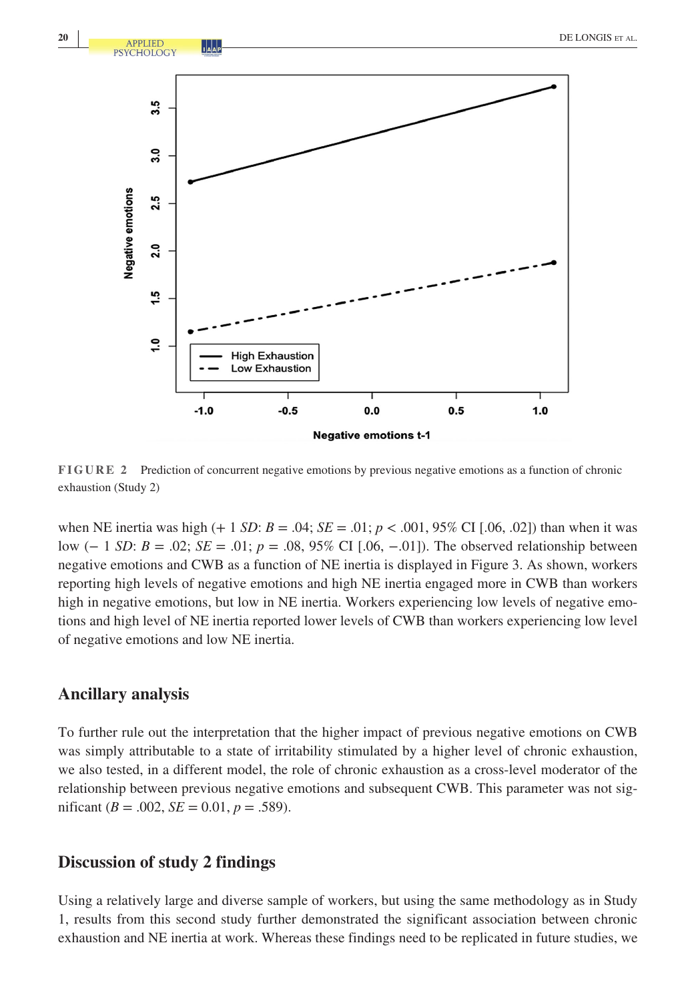

**FIGURE 2** Prediction of concurrent negative emotions by previous negative emotions as a function of chronic exhaustion (Study 2)

when NE inertia was high  $(+ 1 SD: B = .04; SE = .01; p < .001, 95\% \text{ CI } [.06, .02])$  than when it was low (− 1 *SD*: *B* = .02; *SE* = .01; *p* = .08, 95% CI [.06, −.01]). The observed relationship between negative emotions and CWB as a function of NE inertia is displayed in Figure 3. As shown, workers reporting high levels of negative emotions and high NE inertia engaged more in CWB than workers high in negative emotions, but low in NE inertia. Workers experiencing low levels of negative emotions and high level of NE inertia reported lower levels of CWB than workers experiencing low level of negative emotions and low NE inertia.

#### **Ancillary analysis**

To further rule out the interpretation that the higher impact of previous negative emotions on CWB was simply attributable to a state of irritability stimulated by a higher level of chronic exhaustion, we also tested, in a different model, the role of chronic exhaustion as a cross-level moderator of the relationship between previous negative emotions and subsequent CWB. This parameter was not significant ( $B = .002$ ,  $SE = 0.01$ ,  $p = .589$ ).

#### **Discussion of study 2 findings**

Using a relatively large and diverse sample of workers, but using the same methodology as in Study 1, results from this second study further demonstrated the significant association between chronic exhaustion and NE inertia at work. Whereas these findings need to be replicated in future studies, we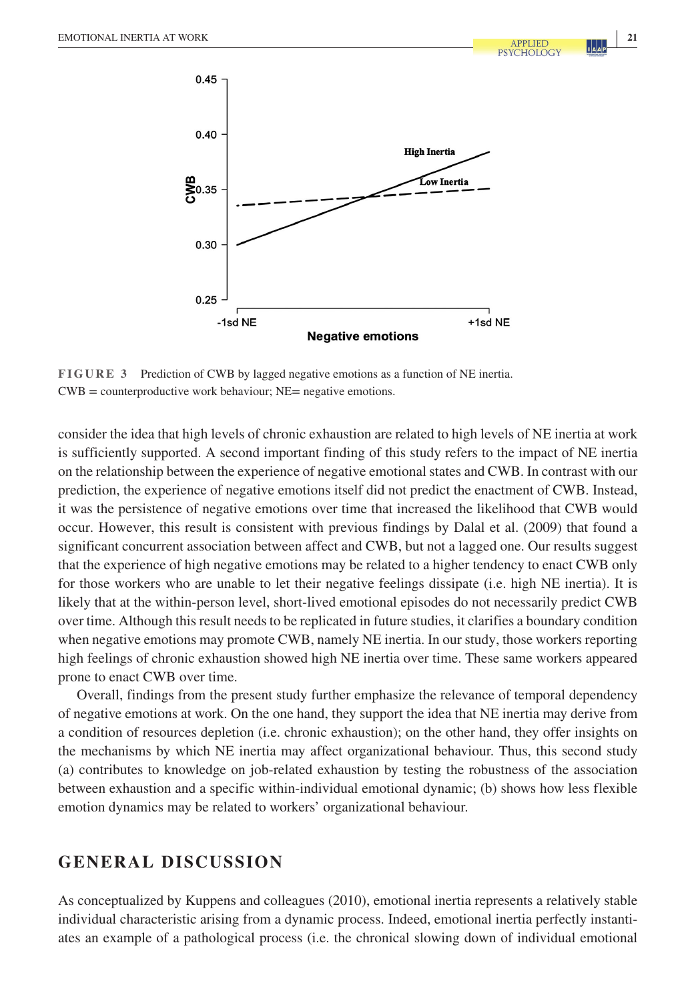

**FIGURE 3** Prediction of CWB by lagged negative emotions as a function of NE inertia.  $CWB = counteroductive work behaviour; NE = negative emotions.$ 

consider the idea that high levels of chronic exhaustion are related to high levels of NE inertia at work is sufficiently supported. A second important finding of this study refers to the impact of NE inertia on the relationship between the experience of negative emotional states and CWB. In contrast with our prediction, the experience of negative emotions itself did not predict the enactment of CWB. Instead, it was the persistence of negative emotions over time that increased the likelihood that CWB would occur. However, this result is consistent with previous findings by Dalal et al. (2009) that found a significant concurrent association between affect and CWB, but not a lagged one. Our results suggest that the experience of high negative emotions may be related to a higher tendency to enact CWB only for those workers who are unable to let their negative feelings dissipate (i.e. high NE inertia). It is likely that at the within-person level, short-lived emotional episodes do not necessarily predict CWB over time. Although this result needs to be replicated in future studies, it clarifies a boundary condition when negative emotions may promote CWB, namely NE inertia. In our study, those workers reporting high feelings of chronic exhaustion showed high NE inertia over time. These same workers appeared prone to enact CWB over time.

Overall, findings from the present study further emphasize the relevance of temporal dependency of negative emotions at work. On the one hand, they support the idea that NE inertia may derive from a condition of resources depletion (i.e. chronic exhaustion); on the other hand, they offer insights on the mechanisms by which NE inertia may affect organizational behaviour. Thus, this second study (a) contributes to knowledge on job-related exhaustion by testing the robustness of the association between exhaustion and a specific within-individual emotional dynamic; (b) shows how less flexible emotion dynamics may be related to workers' organizational behaviour.

# **GENERAL DISCUSSION**

As conceptualized by Kuppens and colleagues (2010), emotional inertia represents a relatively stable individual characteristic arising from a dynamic process. Indeed, emotional inertia perfectly instantiates an example of a pathological process (i.e. the chronical slowing down of individual emotional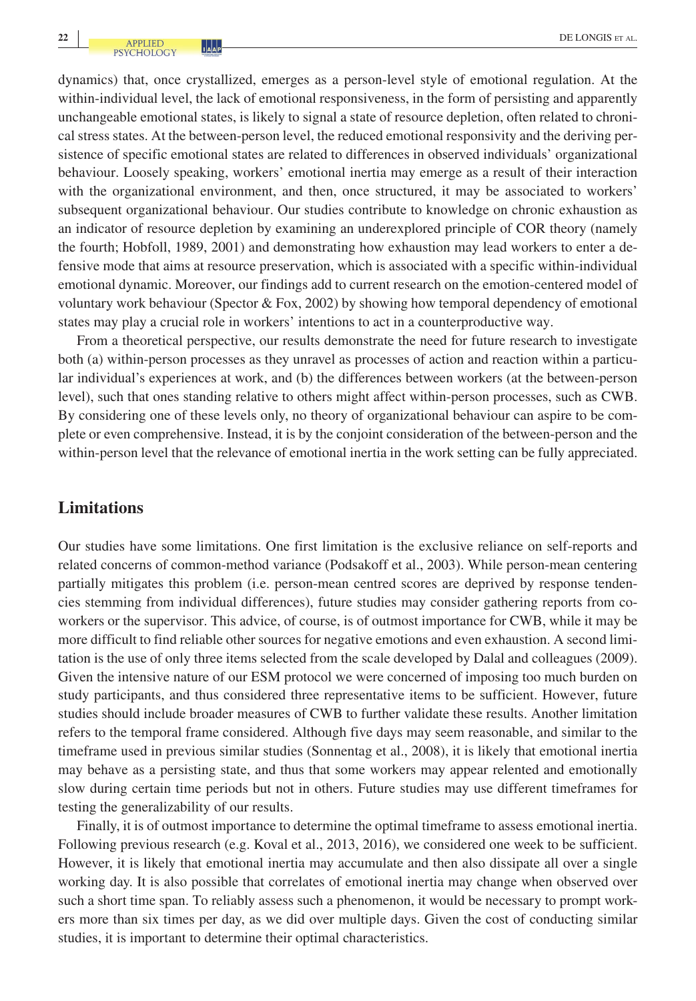dynamics) that, once crystallized, emerges as a person-level style of emotional regulation. At the within-individual level, the lack of emotional responsiveness, in the form of persisting and apparently unchangeable emotional states, is likely to signal a state of resource depletion, often related to chronical stress states. At the between-person level, the reduced emotional responsivity and the deriving persistence of specific emotional states are related to differences in observed individuals' organizational behaviour. Loosely speaking, workers' emotional inertia may emerge as a result of their interaction with the organizational environment, and then, once structured, it may be associated to workers' subsequent organizational behaviour. Our studies contribute to knowledge on chronic exhaustion as an indicator of resource depletion by examining an underexplored principle of COR theory (namely the fourth; Hobfoll, 1989, 2001) and demonstrating how exhaustion may lead workers to enter a defensive mode that aims at resource preservation, which is associated with a specific within-individual emotional dynamic. Moreover, our findings add to current research on the emotion-centered model of voluntary work behaviour (Spector & Fox, 2002) by showing how temporal dependency of emotional states may play a crucial role in workers' intentions to act in a counterproductive way.

From a theoretical perspective, our results demonstrate the need for future research to investigate both (a) within-person processes as they unravel as processes of action and reaction within a particular individual's experiences at work, and (b) the differences between workers (at the between-person level), such that ones standing relative to others might affect within-person processes, such as CWB. By considering one of these levels only, no theory of organizational behaviour can aspire to be complete or even comprehensive. Instead, it is by the conjoint consideration of the between-person and the within-person level that the relevance of emotional inertia in the work setting can be fully appreciated.

# **Limitations**

Our studies have some limitations. One first limitation is the exclusive reliance on self-reports and related concerns of common-method variance (Podsakoff et al., 2003). While person-mean centering partially mitigates this problem (i.e. person-mean centred scores are deprived by response tendencies stemming from individual differences), future studies may consider gathering reports from coworkers or the supervisor. This advice, of course, is of outmost importance for CWB, while it may be more difficult to find reliable other sources for negative emotions and even exhaustion. A second limitation is the use of only three items selected from the scale developed by Dalal and colleagues (2009). Given the intensive nature of our ESM protocol we were concerned of imposing too much burden on study participants, and thus considered three representative items to be sufficient. However, future studies should include broader measures of CWB to further validate these results. Another limitation refers to the temporal frame considered. Although five days may seem reasonable, and similar to the timeframe used in previous similar studies (Sonnentag et al., 2008), it is likely that emotional inertia may behave as a persisting state, and thus that some workers may appear relented and emotionally slow during certain time periods but not in others. Future studies may use different timeframes for testing the generalizability of our results.

Finally, it is of outmost importance to determine the optimal timeframe to assess emotional inertia. Following previous research (e.g. Koval et al., 2013, 2016), we considered one week to be sufficient. However, it is likely that emotional inertia may accumulate and then also dissipate all over a single working day. It is also possible that correlates of emotional inertia may change when observed over such a short time span. To reliably assess such a phenomenon, it would be necessary to prompt workers more than six times per day, as we did over multiple days. Given the cost of conducting similar studies, it is important to determine their optimal characteristics.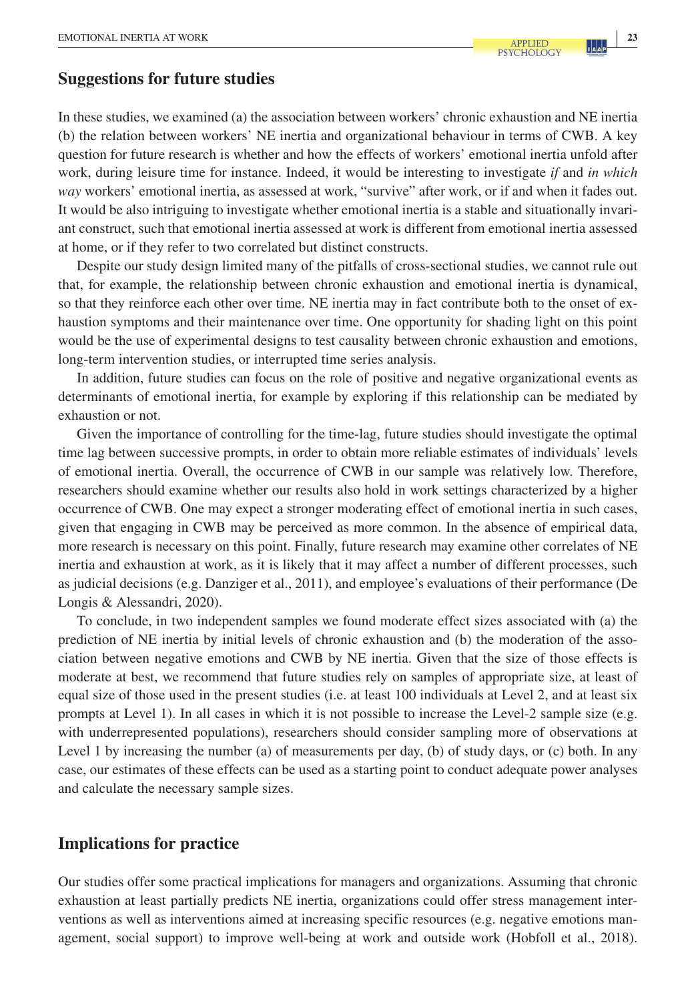# **Suggestions for future studies**

In these studies, we examined (a) the association between workers' chronic exhaustion and NE inertia (b) the relation between workers' NE inertia and organizational behaviour in terms of CWB. A key question for future research is whether and how the effects of workers' emotional inertia unfold after work, during leisure time for instance. Indeed, it would be interesting to investigate *if* and *in which way* workers' emotional inertia, as assessed at work, "survive" after work, or if and when it fades out. It would be also intriguing to investigate whether emotional inertia is a stable and situationally invariant construct, such that emotional inertia assessed at work is different from emotional inertia assessed at home, or if they refer to two correlated but distinct constructs.

Despite our study design limited many of the pitfalls of cross-sectional studies, we cannot rule out that, for example, the relationship between chronic exhaustion and emotional inertia is dynamical, so that they reinforce each other over time. NE inertia may in fact contribute both to the onset of exhaustion symptoms and their maintenance over time. One opportunity for shading light on this point would be the use of experimental designs to test causality between chronic exhaustion and emotions, long-term intervention studies, or interrupted time series analysis.

In addition, future studies can focus on the role of positive and negative organizational events as determinants of emotional inertia, for example by exploring if this relationship can be mediated by exhaustion or not.

Given the importance of controlling for the time-lag, future studies should investigate the optimal time lag between successive prompts, in order to obtain more reliable estimates of individuals' levels of emotional inertia. Overall, the occurrence of CWB in our sample was relatively low. Therefore, researchers should examine whether our results also hold in work settings characterized by a higher occurrence of CWB. One may expect a stronger moderating effect of emotional inertia in such cases, given that engaging in CWB may be perceived as more common. In the absence of empirical data, more research is necessary on this point. Finally, future research may examine other correlates of NE inertia and exhaustion at work, as it is likely that it may affect a number of different processes, such as judicial decisions (e.g. Danziger et al., 2011), and employee's evaluations of their performance (De Longis & Alessandri, 2020).

To conclude, in two independent samples we found moderate effect sizes associated with (a) the prediction of NE inertia by initial levels of chronic exhaustion and (b) the moderation of the association between negative emotions and CWB by NE inertia. Given that the size of those effects is moderate at best, we recommend that future studies rely on samples of appropriate size, at least of equal size of those used in the present studies (i.e. at least 100 individuals at Level 2, and at least six prompts at Level 1). In all cases in which it is not possible to increase the Level-2 sample size (e.g. with underrepresented populations), researchers should consider sampling more of observations at Level 1 by increasing the number (a) of measurements per day, (b) of study days, or (c) both. In any case, our estimates of these effects can be used as a starting point to conduct adequate power analyses and calculate the necessary sample sizes.

# **Implications for practice**

Our studies offer some practical implications for managers and organizations. Assuming that chronic exhaustion at least partially predicts NE inertia, organizations could offer stress management interventions as well as interventions aimed at increasing specific resources (e.g. negative emotions management, social support) to improve well-being at work and outside work (Hobfoll et al., 2018).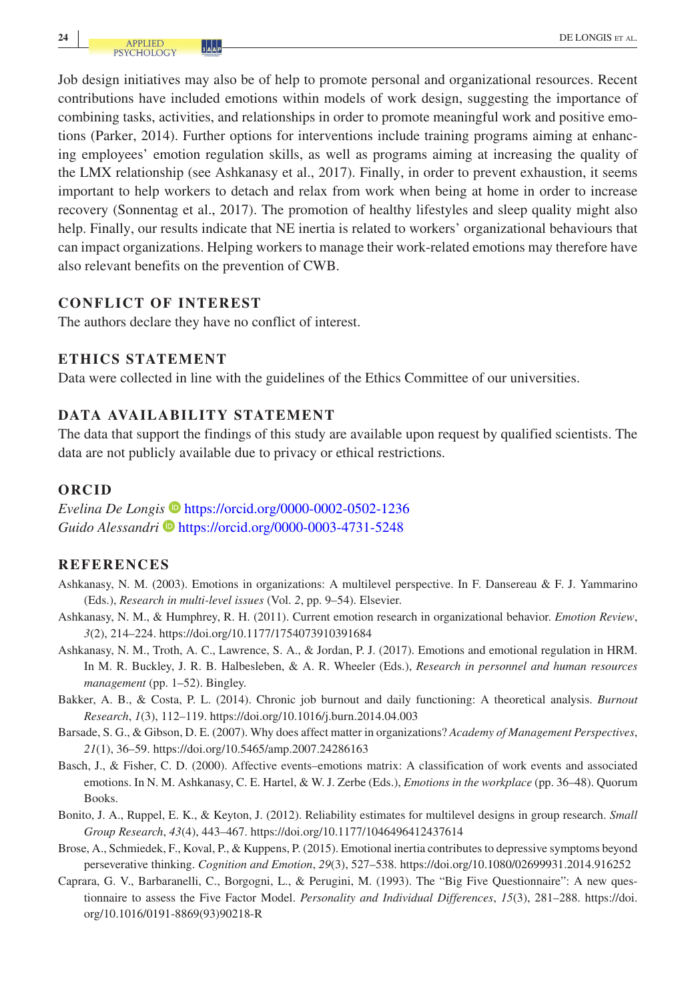Job design initiatives may also be of help to promote personal and organizational resources. Recent contributions have included emotions within models of work design, suggesting the importance of combining tasks, activities, and relationships in order to promote meaningful work and positive emotions (Parker, 2014). Further options for interventions include training programs aiming at enhancing employees' emotion regulation skills, as well as programs aiming at increasing the quality of the LMX relationship (see Ashkanasy et al., 2017). Finally, in order to prevent exhaustion, it seems important to help workers to detach and relax from work when being at home in order to increase recovery (Sonnentag et al., 2017). The promotion of healthy lifestyles and sleep quality might also help. Finally, our results indicate that NE inertia is related to workers' organizational behaviours that can impact organizations. Helping workers to manage their work-related emotions may therefore have also relevant benefits on the prevention of CWB.

# **CONFLICT OF INTEREST**

The authors declare they have no conflict of interest.

# **ETHICS STATEMENT**

Data were collected in line with the guidelines of the Ethics Committee of our universities.

# **DATA AVAILABILITY STATEMENT**

The data that support the findings of this study are available upon request by qualified scientists. The data are not publicly available due to privacy or ethical restrictions.

# **ORCID**

*Evelina De Longis* <https://orcid.org/0000-0002-0502-1236> Guido Alessandri **I**nttps://orcid.org/0000-0003-4731-5248

# **REFERENCES**

- Ashkanasy, N. M. (2003). Emotions in organizations: A multilevel perspective. In F. Dansereau & F. J. Yammarino (Eds.), *Research in multi-level issues* (Vol. *2*, pp. 9–54). Elsevier.
- Ashkanasy, N. M., & Humphrey, R. H. (2011). Current emotion research in organizational behavior. *Emotion Review*, *3*(2), 214–224. <https://doi.org/10.1177/1754073910391684>
- Ashkanasy, N. M., Troth, A. C., Lawrence, S. A., & Jordan, P. J. (2017). Emotions and emotional regulation in HRM. In M. R. Buckley, J. R. B. Halbesleben, & A. R. Wheeler (Eds.), *Research in personnel and human resources management* (pp. 1–52). Bingley.
- Bakker, A. B., & Costa, P. L. (2014). Chronic job burnout and daily functioning: A theoretical analysis. *Burnout Research*, *1*(3), 112–119.<https://doi.org/10.1016/j.burn.2014.04.003>
- Barsade, S. G., & Gibson, D. E. (2007). Why does affect matter in organizations? *Academy of Management Perspectives*, *21*(1), 36–59. <https://doi.org/10.5465/amp.2007.24286163>
- Basch, J., & Fisher, C. D. (2000). Affective events–emotions matrix: A classification of work events and associated emotions. In N. M. Ashkanasy, C. E. Hartel, & W. J. Zerbe (Eds.), *Emotions in the workplace* (pp. 36–48). Quorum Books.
- Bonito, J. A., Ruppel, E. K., & Keyton, J. (2012). Reliability estimates for multilevel designs in group research. *Small Group Research*, *43*(4), 443–467. <https://doi.org/10.1177/1046496412437614>
- Brose, A., Schmiedek, F., Koval, P., & Kuppens, P. (2015). Emotional inertia contributes to depressive symptoms beyond perseverative thinking. *Cognition and Emotion*, *29*(3), 527–538. <https://doi.org/10.1080/02699931.2014.916252>
- Caprara, G. V., Barbaranelli, C., Borgogni, L., & Perugini, M. (1993). The "Big Five Questionnaire": A new questionnaire to assess the Five Factor Model. *Personality and Individual Differences*, *15*(3), 281–288. [https://doi.](https://doi.org/10.1016/0191-8869(93)90218-R) [org/10.1016/0191-8869\(93\)90218-R](https://doi.org/10.1016/0191-8869(93)90218-R)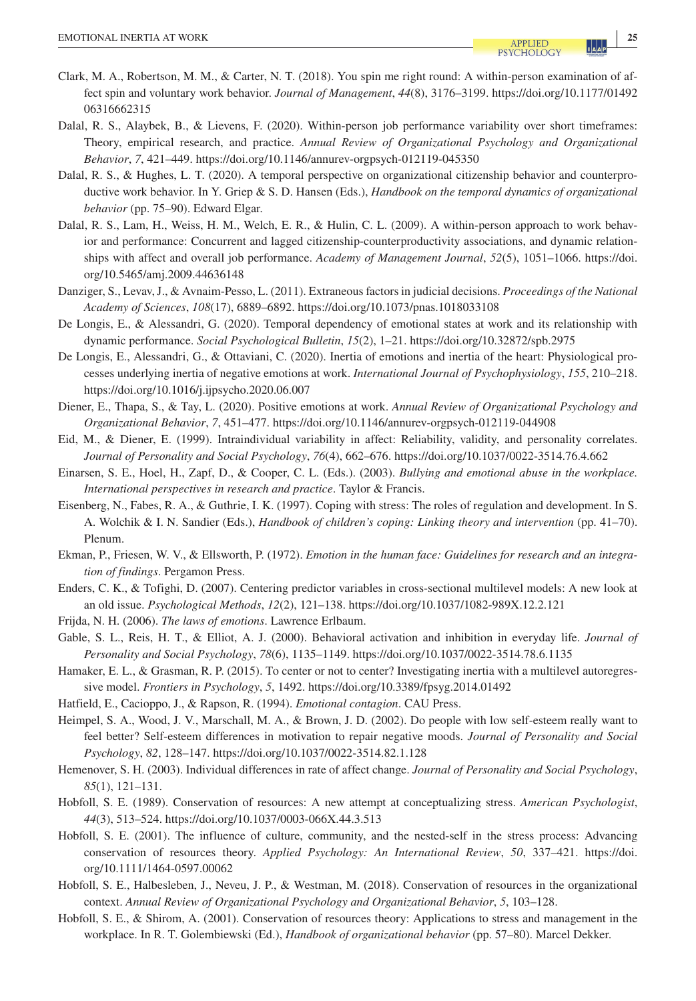- Clark, M. A., Robertson, M. M., & Carter, N. T. (2018). You spin me right round: A within-person examination of affect spin and voluntary work behavior. *Journal of Management*, *44*(8), 3176–3199. [https://doi.org/10.1177/01492](https://doi.org/10.1177/0149206316662315) [06316662315](https://doi.org/10.1177/0149206316662315)
- Dalal, R. S., Alaybek, B., & Lievens, F. (2020). Within-person job performance variability over short timeframes: Theory, empirical research, and practice. *Annual Review of Organizational Psychology and Organizational Behavior*, *7*, 421–449.<https://doi.org/10.1146/annurev-orgpsych-012119-045350>
- Dalal, R. S., & Hughes, L. T. (2020). A temporal perspective on organizational citizenship behavior and counterproductive work behavior. In Y. Griep & S. D. Hansen (Eds.), *Handbook on the temporal dynamics of organizational behavior* (pp. 75–90). Edward Elgar.
- Dalal, R. S., Lam, H., Weiss, H. M., Welch, E. R., & Hulin, C. L. (2009). A within-person approach to work behavior and performance: Concurrent and lagged citizenship-counterproductivity associations, and dynamic relationships with affect and overall job performance. *Academy of Management Journal*, *52*(5), 1051–1066. [https://doi.](https://doi.org/10.5465/amj.2009.44636148) [org/10.5465/amj.2009.44636148](https://doi.org/10.5465/amj.2009.44636148)
- Danziger, S., Levav, J., & Avnaim-Pesso, L. (2011). Extraneous factors in judicial decisions. *Proceedings of the National Academy of Sciences*, *108*(17), 6889–6892. <https://doi.org/10.1073/pnas.1018033108>
- De Longis, E., & Alessandri, G. (2020). Temporal dependency of emotional states at work and its relationship with dynamic performance. *Social Psychological Bulletin*, *15*(2), 1–21. <https://doi.org/10.32872/spb.2975>
- De Longis, E., Alessandri, G., & Ottaviani, C. (2020). Inertia of emotions and inertia of the heart: Physiological processes underlying inertia of negative emotions at work. *International Journal of Psychophysiology*, *155*, 210–218. <https://doi.org/10.1016/j.ijpsycho.2020.06.007>
- Diener, E., Thapa, S., & Tay, L. (2020). Positive emotions at work. *Annual Review of Organizational Psychology and Organizational Behavior*, *7*, 451–477.<https://doi.org/10.1146/annurev-orgpsych-012119-044908>
- Eid, M., & Diener, E. (1999). Intraindividual variability in affect: Reliability, validity, and personality correlates. *Journal of Personality and Social Psychology*, *76*(4), 662–676. <https://doi.org/10.1037/0022-3514.76.4.662>
- Einarsen, S. E., Hoel, H., Zapf, D., & Cooper, C. L. (Eds.). (2003). *Bullying and emotional abuse in the workplace. International perspectives in research and practice*. Taylor & Francis.
- Eisenberg, N., Fabes, R. A., & Guthrie, I. K. (1997). Coping with stress: The roles of regulation and development. In S. A. Wolchik & I. N. Sandier (Eds.), *Handbook of children's coping: Linking theory and intervention* (pp. 41–70). Plenum.
- Ekman, P., Friesen, W. V., & Ellsworth, P. (1972). *Emotion in the human face: Guidelines for research and an integration of findings*. Pergamon Press.
- Enders, C. K., & Tofighi, D. (2007). Centering predictor variables in cross-sectional multilevel models: A new look at an old issue. *Psychological Methods*, *12*(2), 121–138. <https://doi.org/10.1037/1082-989X.12.2.121>
- Frijda, N. H. (2006). *The laws of emotions*. Lawrence Erlbaum.
- Gable, S. L., Reis, H. T., & Elliot, A. J. (2000). Behavioral activation and inhibition in everyday life. *Journal of Personality and Social Psychology*, *78*(6), 1135–1149. <https://doi.org/10.1037/0022-3514.78.6.1135>
- Hamaker, E. L., & Grasman, R. P. (2015). To center or not to center? Investigating inertia with a multilevel autoregressive model. *Frontiers in Psychology*, *5*, 1492. <https://doi.org/10.3389/fpsyg.2014.01492>
- Hatfield, E., Cacioppo, J., & Rapson, R. (1994). *Emotional contagion*. CAU Press.
- Heimpel, S. A., Wood, J. V., Marschall, M. A., & Brown, J. D. (2002). Do people with low self-esteem really want to feel better? Self-esteem differences in motivation to repair negative moods. *Journal of Personality and Social Psychology*, *82*, 128–147.<https://doi.org/10.1037/0022-3514.82.1.128>
- Hemenover, S. H. (2003). Individual differences in rate of affect change. *Journal of Personality and Social Psychology*, *85*(1), 121–131.
- Hobfoll, S. E. (1989). Conservation of resources: A new attempt at conceptualizing stress. *American Psychologist*, *44*(3), 513–524.<https://doi.org/10.1037/0003-066X.44.3.513>
- Hobfoll, S. E. (2001). The influence of culture, community, and the nested-self in the stress process: Advancing conservation of resources theory. *Applied Psychology: An International Review*, *50*, 337–421. [https://doi.](https://doi.org/10.1111/1464-0597.00062) [org/10.1111/1464-0597.00062](https://doi.org/10.1111/1464-0597.00062)
- Hobfoll, S. E., Halbesleben, J., Neveu, J. P., & Westman, M. (2018). Conservation of resources in the organizational context. *Annual Review of Organizational Psychology and Organizational Behavior*, *5*, 103–128.
- Hobfoll, S. E., & Shirom, A. (2001). Conservation of resources theory: Applications to stress and management in the workplace. In R. T. Golembiewski (Ed.), *Handbook of organizational behavior* (pp. 57–80). Marcel Dekker.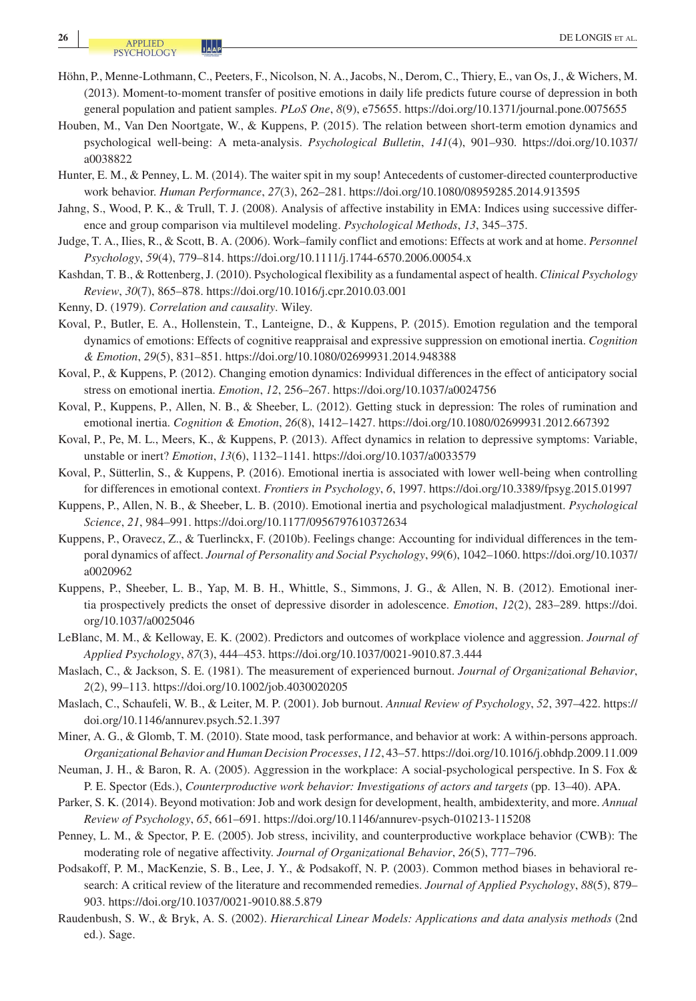**<sup>26</sup> |** DE LONGIS et al.

- Höhn, P., Menne-Lothmann, C., Peeters, F., Nicolson, N. A., Jacobs, N., Derom, C., Thiery, E., van Os, J., & Wichers, M. (2013). Moment-to-moment transfer of positive emotions in daily life predicts future course of depression in both general population and patient samples. *PLoS One*, *8*(9), e75655. <https://doi.org/10.1371/journal.pone.0075655>
- Houben, M., Van Den Noortgate, W., & Kuppens, P. (2015). The relation between short-term emotion dynamics and psychological well-being: A meta-analysis. *Psychological Bulletin*, *141*(4), 901–930. [https://doi.org/10.1037/](https://doi.org/10.1037/a0038822) [a0038822](https://doi.org/10.1037/a0038822)
- Hunter, E. M., & Penney, L. M. (2014). The waiter spit in my soup! Antecedents of customer-directed counterproductive work behavior. *Human Performance*, *27*(3), 262–281.<https://doi.org/10.1080/08959285.2014.913595>
- Jahng, S., Wood, P. K., & Trull, T. J. (2008). Analysis of affective instability in EMA: Indices using successive difference and group comparison via multilevel modeling. *Psychological Methods*, *13*, 345–375.
- Judge, T. A., Ilies, R., & Scott, B. A. (2006). Work–family conflict and emotions: Effects at work and at home. *Personnel Psychology*, *59*(4), 779–814.<https://doi.org/10.1111/j.1744-6570.2006.00054.x>
- Kashdan, T. B., & Rottenberg, J. (2010). Psychological flexibility as a fundamental aspect of health. *Clinical Psychology Review*, *30*(7), 865–878. <https://doi.org/10.1016/j.cpr.2010.03.001>
- Kenny, D. (1979). *Correlation and causality*. Wiley.
- Koval, P., Butler, E. A., Hollenstein, T., Lanteigne, D., & Kuppens, P. (2015). Emotion regulation and the temporal dynamics of emotions: Effects of cognitive reappraisal and expressive suppression on emotional inertia. *Cognition & Emotion*, *29*(5), 831–851. <https://doi.org/10.1080/02699931.2014.948388>
- Koval, P., & Kuppens, P. (2012). Changing emotion dynamics: Individual differences in the effect of anticipatory social stress on emotional inertia. *Emotion*, *12*, 256–267.<https://doi.org/10.1037/a0024756>
- Koval, P., Kuppens, P., Allen, N. B., & Sheeber, L. (2012). Getting stuck in depression: The roles of rumination and emotional inertia. *Cognition & Emotion*, *26*(8), 1412–1427. <https://doi.org/10.1080/02699931.2012.667392>
- Koval, P., Pe, M. L., Meers, K., & Kuppens, P. (2013). Affect dynamics in relation to depressive symptoms: Variable, unstable or inert? *Emotion*, *13*(6), 1132–1141.<https://doi.org/10.1037/a0033579>
- Koval, P., Sütterlin, S., & Kuppens, P. (2016). Emotional inertia is associated with lower well-being when controlling for differences in emotional context. *Frontiers in Psychology*, *6*, 1997. <https://doi.org/10.3389/fpsyg.2015.01997>
- Kuppens, P., Allen, N. B., & Sheeber, L. B. (2010). Emotional inertia and psychological maladjustment. *Psychological Science*, *21*, 984–991.<https://doi.org/10.1177/0956797610372634>
- Kuppens, P., Oravecz, Z., & Tuerlinckx, F. (2010b). Feelings change: Accounting for individual differences in the temporal dynamics of affect. *Journal of Personality and Social Psychology*, *99*(6), 1042–1060. [https://doi.org/10.1037/](https://doi.org/10.1037/a0020962) [a0020962](https://doi.org/10.1037/a0020962)
- Kuppens, P., Sheeber, L. B., Yap, M. B. H., Whittle, S., Simmons, J. G., & Allen, N. B. (2012). Emotional inertia prospectively predicts the onset of depressive disorder in adolescence. *Emotion*, *12*(2), 283–289. [https://doi.](https://doi.org/10.1037/a0025046) [org/10.1037/a0025046](https://doi.org/10.1037/a0025046)
- LeBlanc, M. M., & Kelloway, E. K. (2002). Predictors and outcomes of workplace violence and aggression. *Journal of Applied Psychology*, *87*(3), 444–453.<https://doi.org/10.1037/0021-9010.87.3.444>
- Maslach, C., & Jackson, S. E. (1981). The measurement of experienced burnout. *Journal of Organizational Behavior*, *2*(2), 99–113. <https://doi.org/10.1002/job.4030020205>
- Maslach, C., Schaufeli, W. B., & Leiter, M. P. (2001). Job burnout. *Annual Review of Psychology*, *52*, 397–422. [https://](https://doi.org/10.1146/annurev.psych.52.1.397) [doi.org/10.1146/annurev.psych.52.1.397](https://doi.org/10.1146/annurev.psych.52.1.397)
- Miner, A. G., & Glomb, T. M. (2010). State mood, task performance, and behavior at work: A within-persons approach. *Organizational Behavior and Human Decision Processes*, *112*, 43–57.<https://doi.org/10.1016/j.obhdp.2009.11.009>
- Neuman, J. H., & Baron, R. A. (2005). Aggression in the workplace: A social-psychological perspective. In S. Fox & P. E. Spector (Eds.), *Counterproductive work behavior: Investigations of actors and targets* (pp. 13–40). APA.
- Parker, S. K. (2014). Beyond motivation: Job and work design for development, health, ambidexterity, and more. *Annual Review of Psychology*, *65*, 661–691. <https://doi.org/10.1146/annurev-psych-010213-115208>
- Penney, L. M., & Spector, P. E. (2005). Job stress, incivility, and counterproductive workplace behavior (CWB): The moderating role of negative affectivity. *Journal of Organizational Behavior*, *26*(5), 777–796.
- Podsakoff, P. M., MacKenzie, S. B., Lee, J. Y., & Podsakoff, N. P. (2003). Common method biases in behavioral research: A critical review of the literature and recommended remedies. *Journal of Applied Psychology*, *88*(5), 879– 903. <https://doi.org/10.1037/0021-9010.88.5.879>
- Raudenbush, S. W., & Bryk, A. S. (2002). *Hierarchical Linear Models: Applications and data analysis methods* (2nd ed.). Sage.